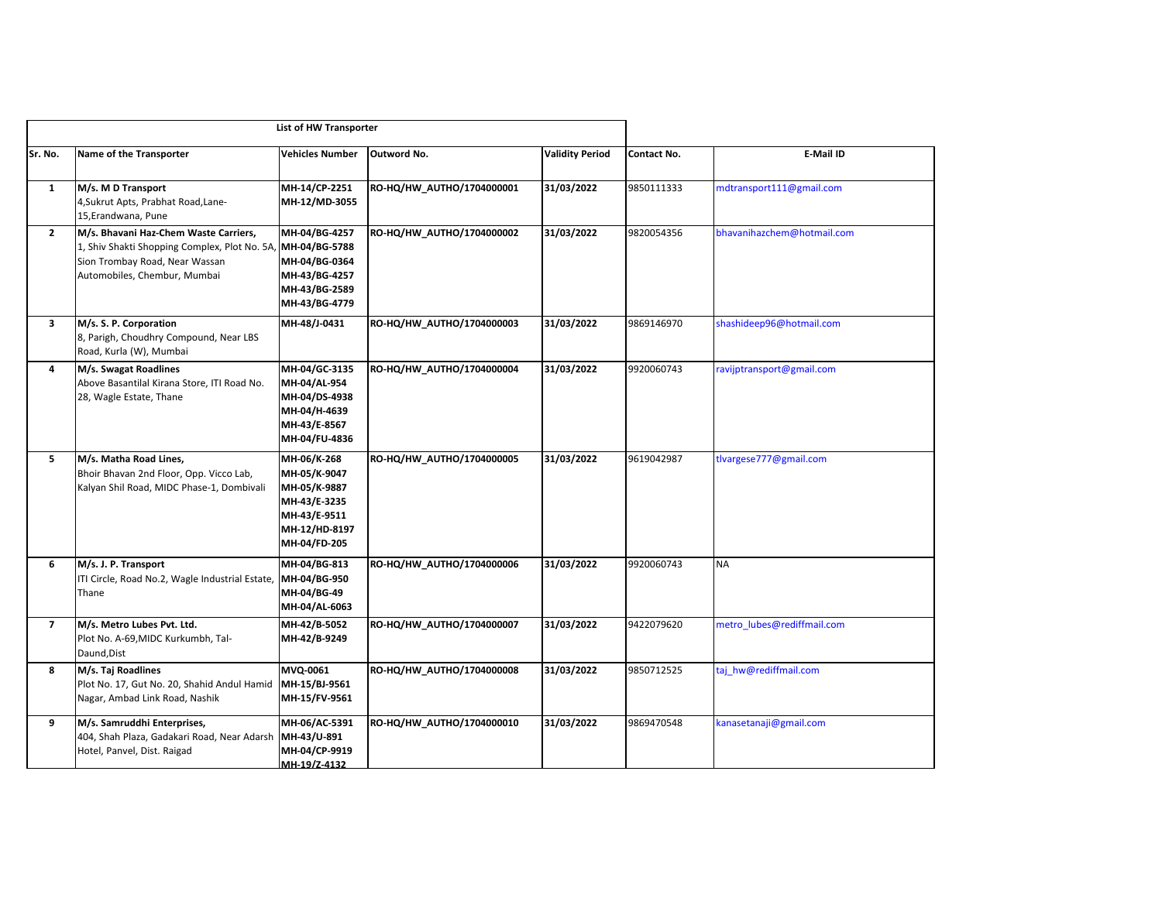|                |                                                                                                                                                          | List of HW Transporter                                                                                       |                           |                        |             |                            |
|----------------|----------------------------------------------------------------------------------------------------------------------------------------------------------|--------------------------------------------------------------------------------------------------------------|---------------------------|------------------------|-------------|----------------------------|
| Sr. No.        | Name of the Transporter                                                                                                                                  | <b>Vehicles Number</b>                                                                                       | Outword No.               | <b>Validity Period</b> | Contact No. | E-Mail ID                  |
| $\mathbf{1}$   | M/s. M D Transport<br>4, Sukrut Apts, Prabhat Road, Lane-<br>15, Erandwana, Pune                                                                         | MH-14/CP-2251<br>MH-12/MD-3055                                                                               | RO-HQ/HW AUTHO/1704000001 | 31/03/2022             | 9850111333  | mdtransport111@gmail.com   |
| $\mathbf{2}$   | M/s. Bhavani Haz-Chem Waste Carriers,<br>1, Shiv Shakti Shopping Complex, Plot No. 5A,<br>Sion Trombay Road, Near Wassan<br>Automobiles, Chembur, Mumbai | MH-04/BG-4257<br>MH-04/BG-5788<br>MH-04/BG-0364<br>MH-43/BG-4257<br>MH-43/BG-2589<br>MH-43/BG-4779           | RO-HQ/HW_AUTHO/1704000002 | 31/03/2022             | 9820054356  | bhavanihazchem@hotmail.com |
| 3              | M/s. S. P. Corporation<br>8, Parigh, Choudhry Compound, Near LBS<br>Road, Kurla (W), Mumbai                                                              | MH-48/J-0431                                                                                                 | RO-HQ/HW_AUTHO/1704000003 | 31/03/2022             | 9869146970  | shashideep96@hotmail.com   |
| 4              | M/s. Swagat Roadlines<br>Above Basantilal Kirana Store, ITI Road No.<br>28, Wagle Estate, Thane                                                          | MH-04/GC-3135<br>MH-04/AL-954<br>MH-04/DS-4938<br>MH-04/H-4639<br>MH-43/E-8567<br>MH-04/FU-4836              | RO-HQ/HW_AUTHO/1704000004 | 31/03/2022             | 9920060743  | ravijptransport@gmail.com  |
| 5              | M/s. Matha Road Lines,<br>Bhoir Bhavan 2nd Floor, Opp. Vicco Lab,<br>Kalyan Shil Road, MIDC Phase-1, Dombivali                                           | MH-06/K-268<br>MH-05/K-9047<br>MH-05/K-9887<br>MH-43/E-3235<br>MH-43/E-9511<br>MH-12/HD-8197<br>MH-04/FD-205 | RO-HQ/HW_AUTHO/1704000005 | 31/03/2022             | 9619042987  | tlvargese777@gmail.com     |
| 6              | M/s. J. P. Transport<br>ITI Circle, Road No.2, Wagle Industrial Estate,<br>Thane                                                                         | MH-04/BG-813<br>MH-04/BG-950<br>MH-04/BG-49<br>MH-04/AL-6063                                                 | RO-HQ/HW_AUTHO/1704000006 | 31/03/2022             | 9920060743  | <b>NA</b>                  |
| $\overline{7}$ | M/s. Metro Lubes Pvt. Ltd.<br>Plot No. A-69, MIDC Kurkumbh, Tal-<br>Daund, Dist                                                                          | MH-42/B-5052<br>MH-42/B-9249                                                                                 | RO-HQ/HW AUTHO/1704000007 | 31/03/2022             | 9422079620  | metro lubes@rediffmail.com |
| 8              | M/s. Taj Roadlines<br>Plot No. 17, Gut No. 20, Shahid Andul Hamid<br>Nagar, Ambad Link Road, Nashik                                                      | MVQ-0061<br>MH-15/BJ-9561<br>MH-15/FV-9561                                                                   | RO-HQ/HW_AUTHO/1704000008 | 31/03/2022             | 9850712525  | taj_hw@rediffmail.com      |
| 9              | M/s. Samruddhi Enterprises,<br>404, Shah Plaza, Gadakari Road, Near Adarsh<br>Hotel, Panvel, Dist. Raigad                                                | MH-06/AC-5391<br>MH-43/U-891<br>MH-04/CP-9919<br>MH-19/7-4132                                                | RO-HQ/HW_AUTHO/1704000010 | 31/03/2022             | 9869470548  | kanasetanaji@gmail.com     |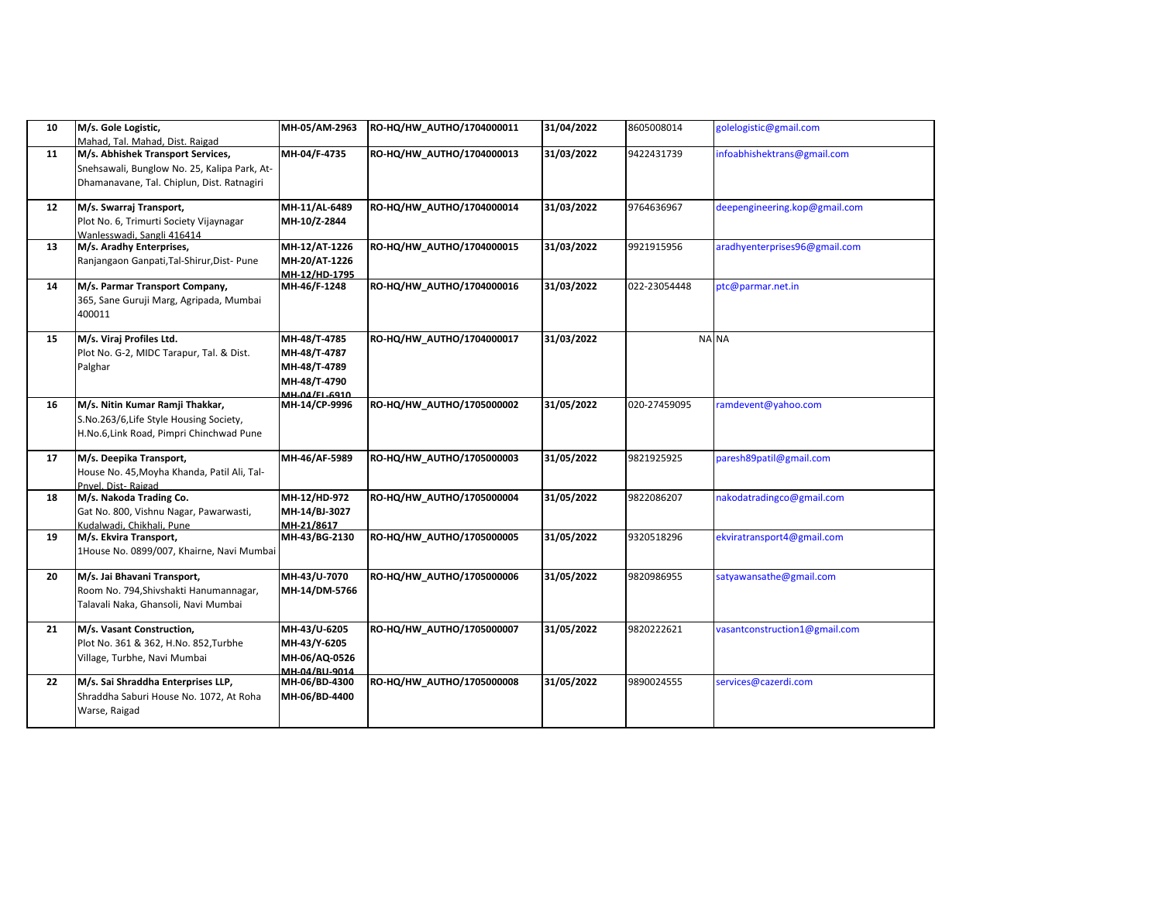| 10 | M/s. Gole Logistic,<br>Mahad, Tal. Mahad, Dist. Raigad                                                                          | MH-05/AM-2963                                                                 | RO-HQ/HW AUTHO/1704000011 | 31/04/2022 | 8605008014   | golelogistic@gmail.com        |
|----|---------------------------------------------------------------------------------------------------------------------------------|-------------------------------------------------------------------------------|---------------------------|------------|--------------|-------------------------------|
| 11 | M/s. Abhishek Transport Services,<br>Snehsawali, Bunglow No. 25, Kalipa Park, At-<br>Dhamanavane, Tal. Chiplun, Dist. Ratnagiri | MH-04/F-4735                                                                  | RO-HQ/HW_AUTHO/1704000013 | 31/03/2022 | 9422431739   | infoabhishektrans@gmail.com   |
| 12 | M/s. Swarraj Transport,<br>Plot No. 6, Trimurti Society Vijaynagar<br>Wanlesswadi. Sangli 416414                                | MH-11/AL-6489<br>MH-10/Z-2844                                                 | RO-HQ/HW_AUTHO/1704000014 | 31/03/2022 | 9764636967   | deepengineering.kop@gmail.com |
| 13 | M/s. Aradhy Enterprises,<br>Ranjangaon Ganpati, Tal-Shirur, Dist- Pune                                                          | MH-12/AT-1226<br>MH-20/AT-1226<br>MH-12/HD-1795                               | RO-HQ/HW_AUTHO/1704000015 | 31/03/2022 | 9921915956   | aradhyenterprises96@gmail.com |
| 14 | M/s. Parmar Transport Company,<br>365, Sane Guruji Marg, Agripada, Mumbai<br>400011                                             | MH-46/F-1248                                                                  | RO-HQ/HW_AUTHO/1704000016 | 31/03/2022 | 022-23054448 | ptc@parmar.net.in             |
| 15 | M/s. Viraj Profiles Ltd.<br>Plot No. G-2, MIDC Tarapur, Tal. & Dist.<br>Palghar                                                 | MH-48/T-4785<br>MH-48/T-4787<br>MH-48/T-4789<br>MH-48/T-4790<br>MH-04/FL-6910 | RO-HQ/HW_AUTHO/1704000017 | 31/03/2022 |              | NA NA                         |
| 16 | M/s. Nitin Kumar Ramji Thakkar,<br>S.No.263/6, Life Style Housing Society,<br>H.No.6, Link Road, Pimpri Chinchwad Pune          | MH-14/CP-9996                                                                 | RO-HQ/HW_AUTHO/1705000002 | 31/05/2022 | 020-27459095 | ramdevent@yahoo.com           |
| 17 | M/s. Deepika Transport,<br>House No. 45, Moyha Khanda, Patil Ali, Tal-<br>Pnvel. Dist-Raigad                                    | MH-46/AF-5989                                                                 | RO-HQ/HW_AUTHO/1705000003 | 31/05/2022 | 9821925925   | paresh89patil@gmail.com       |
| 18 | M/s. Nakoda Trading Co.<br>Gat No. 800, Vishnu Nagar, Pawarwasti,<br>Kudalwadi, Chikhali, Pune                                  | MH-12/HD-972<br>MH-14/BJ-3027<br>MH-21/8617                                   | RO-HQ/HW_AUTHO/1705000004 | 31/05/2022 | 9822086207   | nakodatradingco@gmail.com     |
| 19 | M/s. Ekvira Transport,<br>1House No. 0899/007, Khairne, Navi Mumbai                                                             | MH-43/BG-2130                                                                 | RO-HQ/HW AUTHO/1705000005 | 31/05/2022 | 9320518296   | ekviratransport4@gmail.com    |
| 20 | M/s. Jai Bhavani Transport,<br>Room No. 794, Shivshakti Hanumannagar,<br>Talavali Naka, Ghansoli, Navi Mumbai                   | MH-43/U-7070<br>MH-14/DM-5766                                                 | RO-HQ/HW_AUTHO/1705000006 | 31/05/2022 | 9820986955   | satyawansathe@gmail.com       |
| 21 | M/s. Vasant Construction,<br>Plot No. 361 & 362, H.No. 852, Turbhe<br>Village, Turbhe, Navi Mumbai                              | MH-43/U-6205<br>MH-43/Y-6205<br>MH-06/AQ-0526<br>MH-04/BU-9014                | RO-HQ/HW_AUTHO/1705000007 | 31/05/2022 | 9820222621   | vasantconstruction1@gmail.com |
| 22 | M/s. Sai Shraddha Enterprises LLP,<br>Shraddha Saburi House No. 1072, At Roha<br>Warse, Raigad                                  | MH-06/BD-4300<br>MH-06/BD-4400                                                | RO-HQ/HW_AUTHO/1705000008 | 31/05/2022 | 9890024555   | services@cazerdi.com          |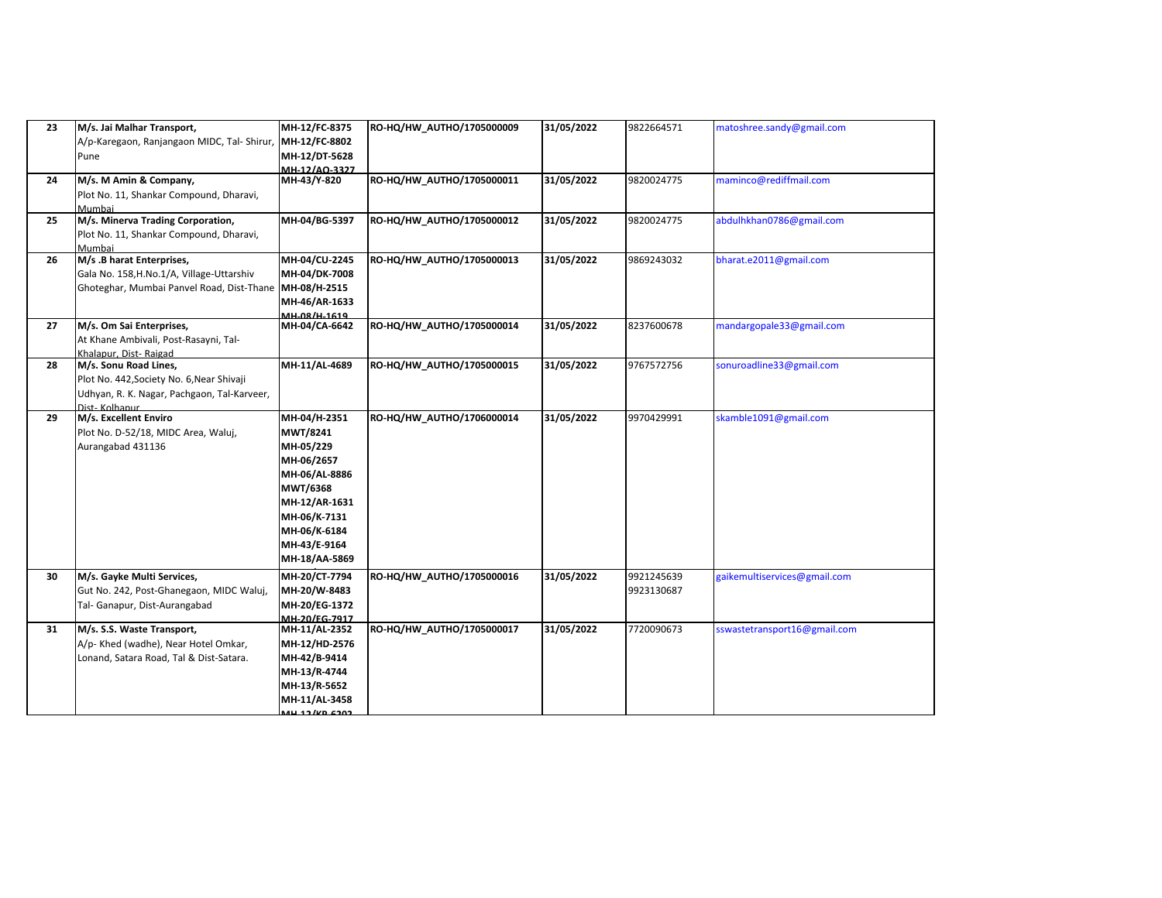| 23 | M/s. Jai Malhar Transport,<br>A/p-Karegaon, Ranjangaon MIDC, Tal- Shirur,<br>Pune                                                  | MH-12/FC-8375<br>MH-12/FC-8802<br>MH-12/DT-5628<br>MH-12/AO-3327                                                                                                          | RO-HQ/HW_AUTHO/1705000009 | 31/05/2022 | 9822664571               | matoshree.sandy@gmail.com    |
|----|------------------------------------------------------------------------------------------------------------------------------------|---------------------------------------------------------------------------------------------------------------------------------------------------------------------------|---------------------------|------------|--------------------------|------------------------------|
| 24 | M/s. M Amin & Company,<br>Plot No. 11, Shankar Compound, Dharavi,<br>Mumbai                                                        | MH-43/Y-820                                                                                                                                                               | RO-HQ/HW_AUTHO/1705000011 | 31/05/2022 | 9820024775               | maminco@rediffmail.com       |
| 25 | M/s. Minerva Trading Corporation,<br>Plot No. 11, Shankar Compound, Dharavi,<br>Mumbai                                             | MH-04/BG-5397                                                                                                                                                             | RO-HQ/HW_AUTHO/1705000012 | 31/05/2022 | 9820024775               | abdulhkhan0786@gmail.com     |
| 26 | M/s .B harat Enterprises,<br>Gala No. 158, H.No.1/A, Village-Uttarshiv<br>Ghoteghar, Mumbai Panvel Road, Dist-Thane                | MH-04/CU-2245<br>MH-04/DK-7008<br>MH-08/H-2515<br>MH-46/AR-1633<br>MH_08/H_1619                                                                                           | RO-HQ/HW_AUTHO/1705000013 | 31/05/2022 | 9869243032               | bharat.e2011@gmail.com       |
| 27 | M/s. Om Sai Enterprises,<br>At Khane Ambivali, Post-Rasayni, Tal-<br>Khalapur, Dist-Raigad                                         | MH-04/CA-6642                                                                                                                                                             | RO-HQ/HW AUTHO/1705000014 | 31/05/2022 | 8237600678               | mandargopale33@gmail.com     |
| 28 | M/s. Sonu Road Lines,<br>Plot No. 442, Society No. 6, Near Shivaji<br>Udhyan, R. K. Nagar, Pachgaon, Tal-Karveer,<br>Dist-Kolhanur | MH-11/AL-4689                                                                                                                                                             | RO-HQ/HW_AUTHO/1705000015 | 31/05/2022 | 9767572756               | sonuroadline33@gmail.com     |
| 29 | M/s. Excellent Enviro<br>Plot No. D-52/18, MIDC Area, Waluj,<br>Aurangabad 431136                                                  | MH-04/H-2351<br>MWT/8241<br>MH-05/229<br>MH-06/2657<br>MH-06/AL-8886<br><b>MWT/6368</b><br>MH-12/AR-1631<br>MH-06/K-7131<br>MH-06/K-6184<br>MH-43/E-9164<br>MH-18/AA-5869 | RO-HQ/HW_AUTHO/1706000014 | 31/05/2022 | 9970429991               | skamble1091@gmail.com        |
| 30 | M/s. Gayke Multi Services,<br>Gut No. 242, Post-Ghanegaon, MIDC Waluj,<br>Tal- Ganapur, Dist-Aurangabad                            | MH-20/CT-7794<br>MH-20/W-8483<br>MH-20/EG-1372<br>MH-20/EG-7917                                                                                                           | RO-HQ/HW_AUTHO/1705000016 | 31/05/2022 | 9921245639<br>9923130687 | gaikemultiservices@gmail.com |
| 31 | M/s. S.S. Waste Transport,<br>A/p- Khed (wadhe), Near Hotel Omkar,<br>Lonand, Satara Road, Tal & Dist-Satara.                      | MH-11/AL-2352<br>MH-12/HD-2576<br>MH-42/B-9414<br>MH-13/R-4744<br>MH-13/R-5652<br>MH-11/AL-3458<br>$12 / VD$ C 202                                                        | RO-HQ/HW AUTHO/1705000017 | 31/05/2022 | 7720090673               | sswastetransport16@gmail.com |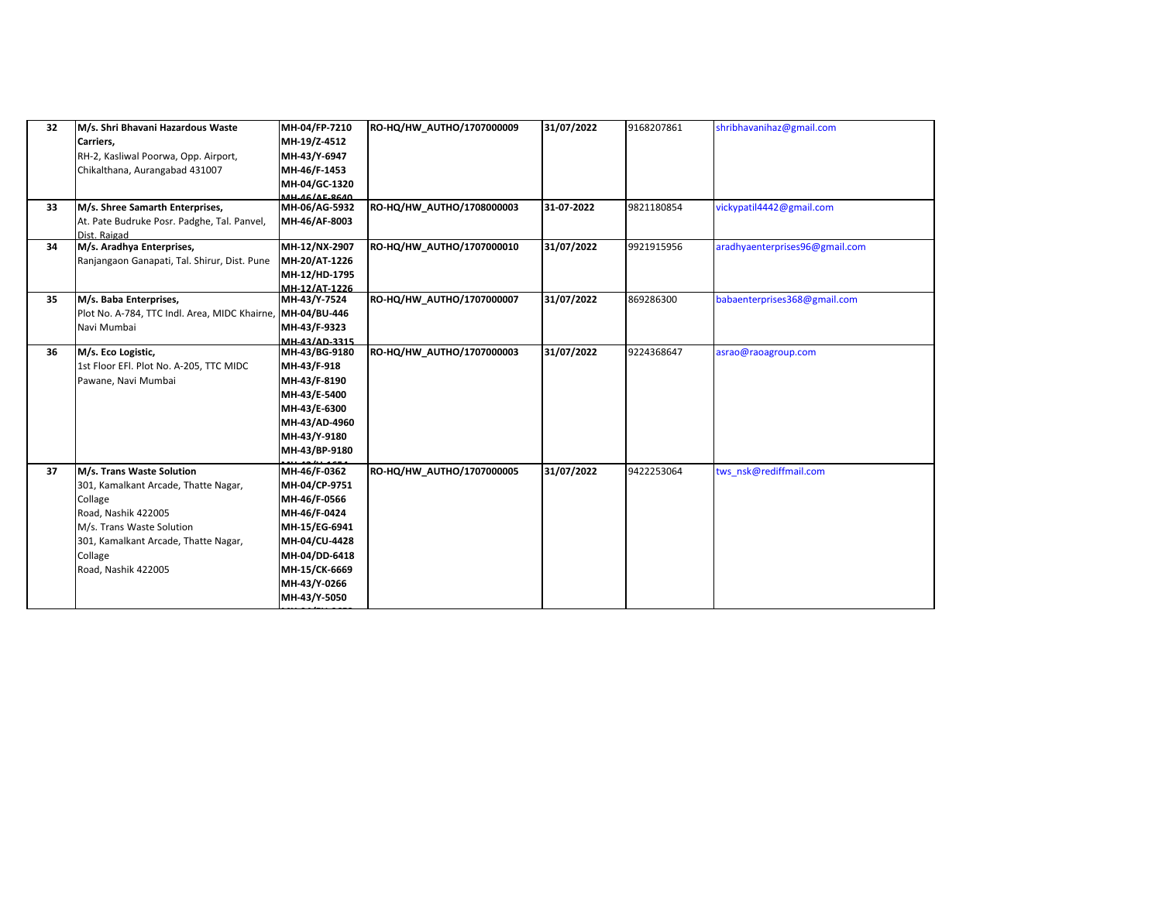| 32 | M/s. Shri Bhavani Hazardous Waste             | MH-04/FP-7210                  | RO-HQ/HW AUTHO/1707000009 | 31/07/2022 | 9168207861 | shribhavanihaz@gmail.com       |
|----|-----------------------------------------------|--------------------------------|---------------------------|------------|------------|--------------------------------|
|    | Carriers.                                     | MH-19/Z-4512                   |                           |            |            |                                |
|    | RH-2, Kasliwal Poorwa, Opp. Airport,          | MH-43/Y-6947                   |                           |            |            |                                |
|    | Chikalthana, Aurangabad 431007                | MH-46/F-1453                   |                           |            |            |                                |
|    |                                               | MH-04/GC-1320                  |                           |            |            |                                |
|    |                                               | <b>MH_AG/AE_RGAO</b>           |                           |            |            |                                |
| 33 | M/s. Shree Samarth Enterprises,               | MH-06/AG-5932                  | RO-HQ/HW AUTHO/1708000003 | 31-07-2022 | 9821180854 | vickypatil4442@gmail.com       |
|    | At. Pate Budruke Posr. Padghe, Tal. Panvel,   | MH-46/AF-8003                  |                           |            |            |                                |
| 34 | Dist. Raigad<br>M/s. Aradhya Enterprises,     | MH-12/NX-2907                  | RO-HQ/HW_AUTHO/1707000010 | 31/07/2022 | 9921915956 | aradhyaenterprises96@gmail.com |
|    |                                               | MH-20/AT-1226                  |                           |            |            |                                |
|    | Ranjangaon Ganapati, Tal. Shirur, Dist. Pune  |                                |                           |            |            |                                |
|    |                                               | MH-12/HD-1795<br>MH-12/AT-1226 |                           |            |            |                                |
| 35 | M/s. Baba Enterprises,                        | MH-43/Y-7524                   | RO-HQ/HW_AUTHO/1707000007 | 31/07/2022 | 869286300  | babaenterprises368@gmail.com   |
|    | Plot No. A-784, TTC Indl. Area, MIDC Khairne, | MH-04/BU-446                   |                           |            |            |                                |
|    | Navi Mumbai                                   | MH-43/F-9323                   |                           |            |            |                                |
|    |                                               | MH-43/AD-3315                  |                           |            |            |                                |
| 36 | M/s. Eco Logistic,                            | MH-43/BG-9180                  | RO-HQ/HW_AUTHO/1707000003 | 31/07/2022 | 9224368647 | asrao@raoagroup.com            |
|    | 1st Floor EFI. Plot No. A-205, TTC MIDC       | MH-43/F-918                    |                           |            |            |                                |
|    | Pawane, Navi Mumbai                           | MH-43/F-8190                   |                           |            |            |                                |
|    |                                               | MH-43/E-5400                   |                           |            |            |                                |
|    |                                               | MH-43/E-6300                   |                           |            |            |                                |
|    |                                               | MH-43/AD-4960                  |                           |            |            |                                |
|    |                                               | MH-43/Y-9180                   |                           |            |            |                                |
|    |                                               | MH-43/BP-9180                  |                           |            |            |                                |
|    |                                               |                                |                           |            |            |                                |
| 37 | M/s. Trans Waste Solution                     | MH-46/F-0362                   | RO-HQ/HW_AUTHO/1707000005 | 31/07/2022 | 9422253064 | tws nsk@rediffmail.com         |
|    | 301, Kamalkant Arcade, Thatte Nagar,          | MH-04/CP-9751                  |                           |            |            |                                |
|    | Collage                                       | MH-46/F-0566                   |                           |            |            |                                |
|    | Road, Nashik 422005                           | MH-46/F-0424                   |                           |            |            |                                |
|    | M/s. Trans Waste Solution                     | MH-15/EG-6941                  |                           |            |            |                                |
|    | 301, Kamalkant Arcade, Thatte Nagar,          | MH-04/CU-4428                  |                           |            |            |                                |
|    | Collage                                       | MH-04/DD-6418                  |                           |            |            |                                |
|    | Road, Nashik 422005                           | MH-15/CK-6669                  |                           |            |            |                                |
|    |                                               | MH-43/Y-0266                   |                           |            |            |                                |
|    |                                               | MH-43/Y-5050                   |                           |            |            |                                |
|    |                                               |                                |                           |            |            |                                |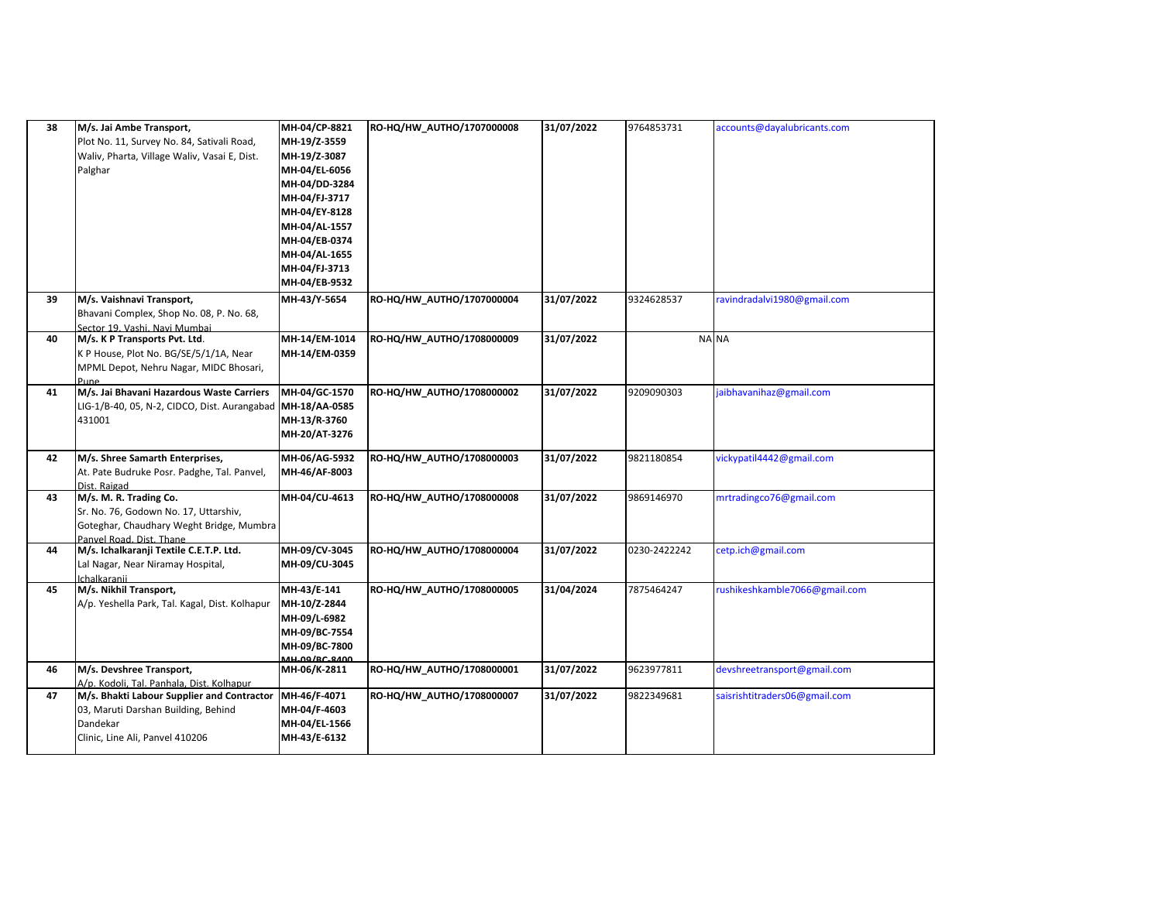| 38 | M/s. Jai Ambe Transport,                          | MH-04/CP-8821                  | RO-HQ/HW_AUTHO/1707000008 | 31/07/2022 | 9764853731   | accounts@dayalubricants.com   |
|----|---------------------------------------------------|--------------------------------|---------------------------|------------|--------------|-------------------------------|
|    | Plot No. 11, Survey No. 84, Sativali Road,        | MH-19/Z-3559                   |                           |            |              |                               |
|    | Waliv, Pharta, Village Waliv, Vasai E, Dist.      | MH-19/Z-3087                   |                           |            |              |                               |
|    | Palghar                                           | MH-04/EL-6056                  |                           |            |              |                               |
|    |                                                   | MH-04/DD-3284                  |                           |            |              |                               |
|    |                                                   | MH-04/FJ-3717                  |                           |            |              |                               |
|    |                                                   | MH-04/EY-8128                  |                           |            |              |                               |
|    |                                                   | MH-04/AL-1557                  |                           |            |              |                               |
|    |                                                   | MH-04/EB-0374                  |                           |            |              |                               |
|    |                                                   | MH-04/AL-1655                  |                           |            |              |                               |
|    |                                                   | MH-04/FJ-3713                  |                           |            |              |                               |
|    |                                                   | MH-04/EB-9532                  |                           |            |              |                               |
| 39 | M/s. Vaishnavi Transport,                         | MH-43/Y-5654                   | RO-HQ/HW_AUTHO/1707000004 | 31/07/2022 | 9324628537   | ravindradalvi1980@gmail.com   |
|    | Bhavani Complex, Shop No. 08, P. No. 68,          |                                |                           |            |              |                               |
|    | Sector 19. Vashi. Navi Mumbai                     |                                |                           |            |              |                               |
| 40 | M/s. K P Transports Pvt. Ltd.                     | MH-14/EM-1014                  | RO-HQ/HW_AUTHO/1708000009 | 31/07/2022 | <b>NA NA</b> |                               |
|    | K P House, Plot No. BG/SE/5/1/1A, Near            | MH-14/EM-0359                  |                           |            |              |                               |
|    | MPML Depot, Nehru Nagar, MIDC Bhosari,            |                                |                           |            |              |                               |
| 41 | Pune<br>M/s. Jai Bhavani Hazardous Waste Carriers | MH-04/GC-1570                  | RO-HQ/HW_AUTHO/1708000002 | 31/07/2022 | 9209090303   | jaibhavanihaz@gmail.com       |
|    | LIG-1/B-40, 05, N-2, CIDCO, Dist. Aurangabad      | MH-18/AA-0585                  |                           |            |              |                               |
|    | 431001                                            | MH-13/R-3760                   |                           |            |              |                               |
|    |                                                   | MH-20/AT-3276                  |                           |            |              |                               |
|    |                                                   |                                |                           |            |              |                               |
| 42 | M/s. Shree Samarth Enterprises,                   | MH-06/AG-5932                  | RO-HQ/HW_AUTHO/1708000003 | 31/07/2022 | 9821180854   | vickypatil4442@gmail.com      |
|    | At. Pate Budruke Posr. Padghe, Tal. Panvel,       | MH-46/AF-8003                  |                           |            |              |                               |
|    | Dist. Raigad                                      |                                |                           |            |              |                               |
| 43 | M/s. M. R. Trading Co.                            | MH-04/CU-4613                  | RO-HQ/HW_AUTHO/1708000008 | 31/07/2022 | 9869146970   | mrtradingco76@gmail.com       |
|    | Sr. No. 76, Godown No. 17, Uttarshiv,             |                                |                           |            |              |                               |
|    | Goteghar, Chaudhary Weght Bridge, Mumbra          |                                |                           |            |              |                               |
|    | Panvel Road, Dist, Thane                          |                                | RO-HQ/HW_AUTHO/1708000004 |            |              |                               |
| 44 | M/s. Ichalkaranji Textile C.E.T.P. Ltd.           | MH-09/CV-3045<br>MH-09/CU-3045 |                           | 31/07/2022 | 0230-2422242 | cetp.ich@gmail.com            |
|    | Lal Nagar, Near Niramay Hospital,<br>Ichalkaranii |                                |                           |            |              |                               |
| 45 | M/s. Nikhil Transport,                            | MH-43/E-141                    | RO-HQ/HW_AUTHO/1708000005 | 31/04/2024 | 7875464247   | rushikeshkamble7066@gmail.com |
|    | A/p. Yeshella Park, Tal. Kagal, Dist. Kolhapur    | MH-10/Z-2844                   |                           |            |              |                               |
|    |                                                   | MH-09/L-6982                   |                           |            |              |                               |
|    |                                                   | MH-09/BC-7554                  |                           |            |              |                               |
|    |                                                   | MH-09/BC-7800                  |                           |            |              |                               |
|    |                                                   | <b>MH_00/RC_8400</b>           |                           |            |              |                               |
| 46 | M/s. Devshree Transport,                          | MH-06/K-2811                   | RO-HQ/HW_AUTHO/1708000001 | 31/07/2022 | 9623977811   | devshreetransport@gmail.com   |
|    | A/p. Kodoli, Tal. Panhala, Dist. Kolhapur         |                                |                           |            |              |                               |
| 47 | M/s. Bhakti Labour Supplier and Contractor        | MH-46/F-4071                   | RO-HQ/HW_AUTHO/1708000007 | 31/07/2022 | 9822349681   | saisrishtitraders06@gmail.com |
|    | 03, Maruti Darshan Building, Behind               | MH-04/F-4603                   |                           |            |              |                               |
|    | Dandekar                                          | MH-04/EL-1566                  |                           |            |              |                               |
|    | Clinic, Line Ali, Panvel 410206                   | MH-43/E-6132                   |                           |            |              |                               |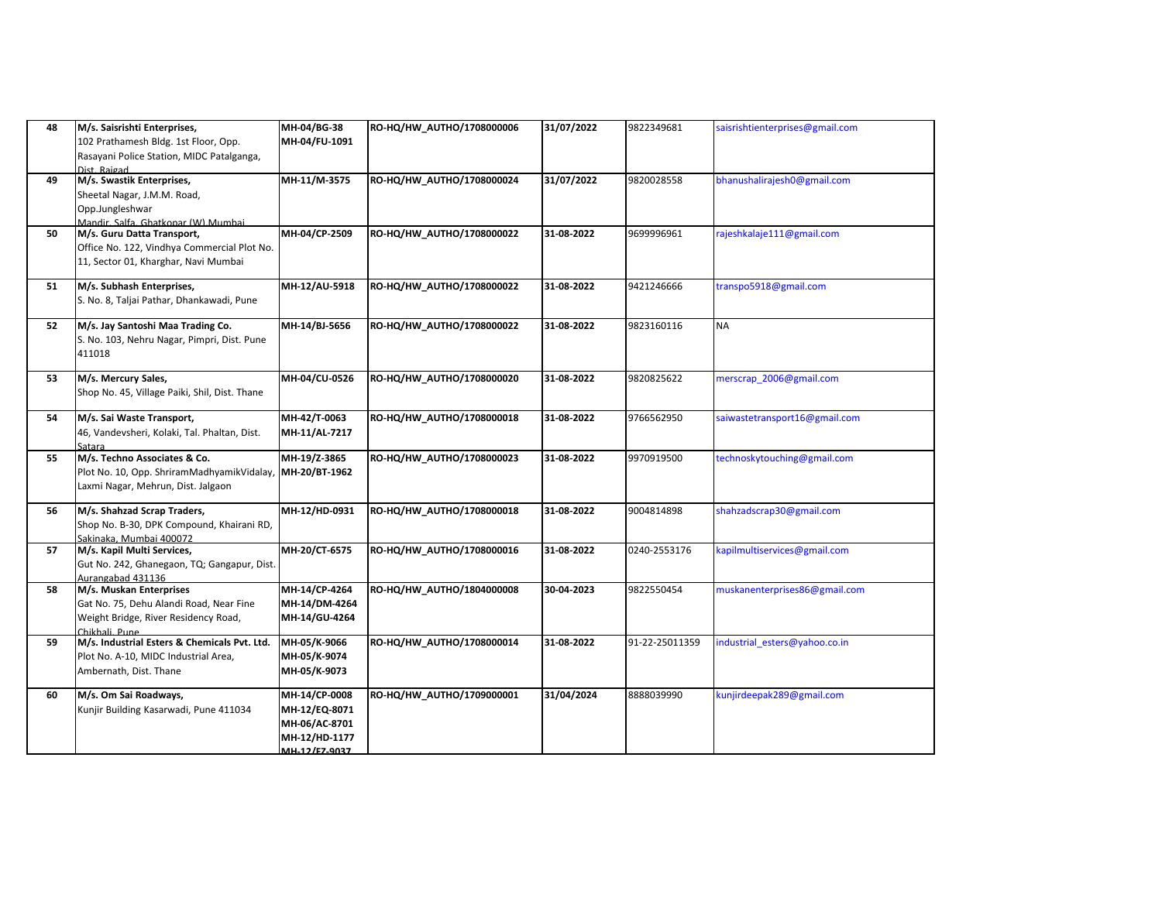| 48 | M/s. Saisrishti Enterprises,<br>102 Prathamesh Bldg. 1st Floor, Opp.<br>Rasayani Police Station, MIDC Patalganga,<br>Dist. Raigad | MH-04/BG-38<br>MH-04/FU-1091                                                      | RO-HQ/HW_AUTHO/1708000006 | 31/07/2022 | 9822349681     | saisrishtienterprises@gmail.com |
|----|-----------------------------------------------------------------------------------------------------------------------------------|-----------------------------------------------------------------------------------|---------------------------|------------|----------------|---------------------------------|
| 49 | M/s. Swastik Enterprises,<br>Sheetal Nagar, J.M.M. Road,<br>Opp.Jungleshwar<br>Mandir, Salfa, Ghatkonar (W) Mumbai                | MH-11/M-3575                                                                      | RO-HQ/HW_AUTHO/1708000024 | 31/07/2022 | 9820028558     | bhanushalirajesh0@gmail.com     |
| 50 | M/s. Guru Datta Transport,<br>Office No. 122, Vindhya Commercial Plot No.<br>11, Sector 01, Kharghar, Navi Mumbai                 | MH-04/CP-2509                                                                     | RO-HQ/HW_AUTHO/1708000022 | 31-08-2022 | 9699996961     | rajeshkalaje111@gmail.com       |
| 51 | M/s. Subhash Enterprises,<br>S. No. 8, Taljai Pathar, Dhankawadi, Pune                                                            | MH-12/AU-5918                                                                     | RO-HQ/HW_AUTHO/1708000022 | 31-08-2022 | 9421246666     | transpo5918@gmail.com           |
| 52 | M/s. Jay Santoshi Maa Trading Co.<br>S. No. 103, Nehru Nagar, Pimpri, Dist. Pune<br>411018                                        | MH-14/BJ-5656                                                                     | RO-HQ/HW_AUTHO/1708000022 | 31-08-2022 | 9823160116     | ΝA                              |
| 53 | M/s. Mercury Sales,<br>Shop No. 45, Village Paiki, Shil, Dist. Thane                                                              | MH-04/CU-0526                                                                     | RO-HQ/HW_AUTHO/1708000020 | 31-08-2022 | 9820825622     | merscrap 2006@gmail.com         |
| 54 | M/s. Sai Waste Transport,<br>46, Vandevsheri, Kolaki, Tal. Phaltan, Dist.<br>Satara                                               | MH-42/T-0063<br>MH-11/AL-7217                                                     | RO-HQ/HW_AUTHO/1708000018 | 31-08-2022 | 9766562950     | saiwastetransport16@gmail.com   |
| 55 | M/s. Techno Associates & Co.<br>Plot No. 10, Opp. ShriramMadhyamikVidalay,<br>Laxmi Nagar, Mehrun, Dist. Jalgaon                  | MH-19/Z-3865<br>MH-20/BT-1962                                                     | RO-HQ/HW_AUTHO/1708000023 | 31-08-2022 | 9970919500     | technoskytouching@gmail.com     |
| 56 | M/s. Shahzad Scrap Traders,<br>Shop No. B-30, DPK Compound, Khairani RD,<br>Sakinaka. Mumbai 400072                               | MH-12/HD-0931                                                                     | RO-HQ/HW_AUTHO/1708000018 | 31-08-2022 | 9004814898     | shahzadscrap30@gmail.com        |
| 57 | M/s. Kapil Multi Services,<br>Gut No. 242, Ghanegaon, TQ; Gangapur, Dist.<br>Aurangabad 431136                                    | MH-20/CT-6575                                                                     | RO-HQ/HW_AUTHO/1708000016 | 31-08-2022 | 0240-2553176   | kapilmultiservices@gmail.com    |
| 58 | M/s. Muskan Enterprises<br>Gat No. 75, Dehu Alandi Road, Near Fine<br>Weight Bridge, River Residency Road,<br>Chikhali Pune       | MH-14/CP-4264<br>MH-14/DM-4264<br>MH-14/GU-4264                                   | RO-HQ/HW AUTHO/1804000008 | 30-04-2023 | 9822550454     | muskanenterprises86@gmail.com   |
| 59 | M/s. Industrial Esters & Chemicals Pvt. Ltd.<br>Plot No. A-10, MIDC Industrial Area,<br>Ambernath, Dist. Thane                    | MH-05/K-9066<br>MH-05/K-9074<br>MH-05/K-9073                                      | RO-HQ/HW_AUTHO/1708000014 | 31-08-2022 | 91-22-25011359 | industrial esters@yahoo.co.in   |
| 60 | M/s. Om Sai Roadways,<br>Kunjir Building Kasarwadi, Pune 411034                                                                   | MH-14/CP-0008<br>MH-12/EQ-8071<br>MH-06/AC-8701<br>MH-12/HD-1177<br>MH-12/F7-9037 | RO-HQ/HW_AUTHO/1709000001 | 31/04/2024 | 8888039990     | kunjirdeepak289@gmail.com       |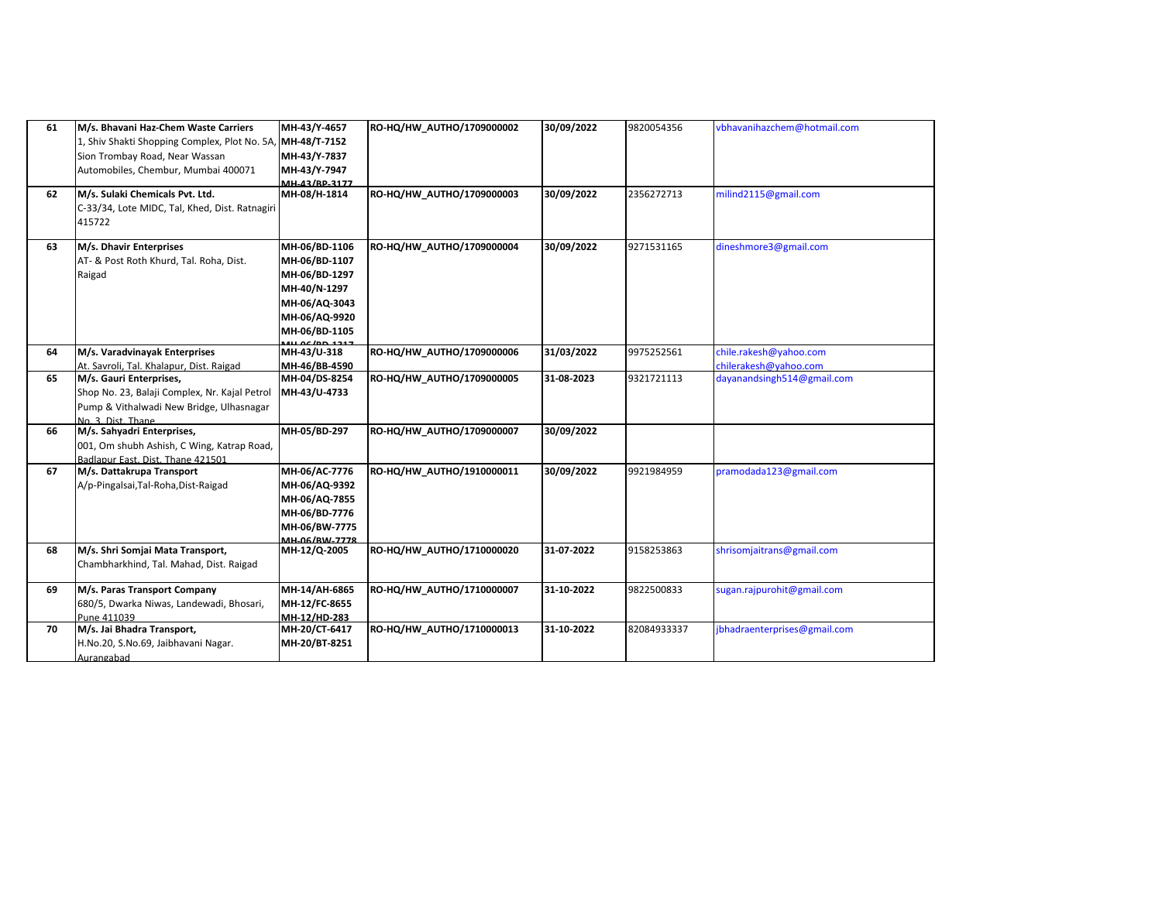| 61<br>62 | M/s. Bhavani Haz-Chem Waste Carriers<br>1, Shiv Shakti Shopping Complex, Plot No. 5A, MH-48/T-7152<br>Sion Trombay Road, Near Wassan<br>Automobiles, Chembur, Mumbai 400071<br>M/s. Sulaki Chemicals Pvt. Ltd. | MH-43/Y-4657<br>MH-43/Y-7837<br>MH-43/Y-7947<br>MH-43/RP-3177<br>MH-08/H-1814                                      | RO-HQ/HW_AUTHO/1709000002<br>RO-HQ/HW_AUTHO/1709000003 | 30/09/2022<br>30/09/2022 | 9820054356<br>2356272713 | vbhavanihazchem@hotmail.com<br>milind2115@gmail.com |
|----------|----------------------------------------------------------------------------------------------------------------------------------------------------------------------------------------------------------------|--------------------------------------------------------------------------------------------------------------------|--------------------------------------------------------|--------------------------|--------------------------|-----------------------------------------------------|
|          | C-33/34, Lote MIDC, Tal, Khed, Dist. Ratnagiri<br>415722                                                                                                                                                       |                                                                                                                    |                                                        |                          |                          |                                                     |
| 63       | M/s. Dhavir Enterprises<br>AT- & Post Roth Khurd, Tal. Roha, Dist.<br>Raigad                                                                                                                                   | MH-06/BD-1106<br>MH-06/BD-1107<br>MH-06/BD-1297<br>MH-40/N-1297<br>MH-06/AQ-3043<br>MH-06/AQ-9920<br>MH-06/BD-1105 | RO-HQ/HW_AUTHO/1709000004                              | 30/09/2022               | 9271531165               | dineshmore3@gmail.com                               |
| 64       | M/s. Varadvinayak Enterprises<br>At. Savroli, Tal. Khalapur, Dist. Raigad                                                                                                                                      | MH-43/U-318<br>MH-46/BB-4590                                                                                       | RO-HQ/HW_AUTHO/1709000006                              | 31/03/2022               | 9975252561               | chile.rakesh@yahoo.com<br>chilerakesh@yahoo.com     |
| 65       | M/s. Gauri Enterprises,<br>Shop No. 23, Balaji Complex, Nr. Kajal Petrol<br>Pump & Vithalwadi New Bridge, Ulhasnagar<br>No. 3. Dist. Thane                                                                     | MH-04/DS-8254<br>MH-43/U-4733                                                                                      | RO-HQ/HW AUTHO/1709000005                              | 31-08-2023               | 9321721113               | dayanandsingh514@gmail.com                          |
| 66       | M/s. Sahyadri Enterprises,<br>001, Om shubh Ashish, C Wing, Katrap Road,<br>Badlapur East. Dist. Thane 421501                                                                                                  | MH-05/BD-297                                                                                                       | RO-HQ/HW AUTHO/1709000007                              | 30/09/2022               |                          |                                                     |
| 67       | M/s. Dattakrupa Transport<br>A/p-Pingalsai, Tal-Roha, Dist-Raigad                                                                                                                                              | MH-06/AC-7776<br>MH-06/AQ-9392<br>MH-06/AQ-7855<br>MH-06/BD-7776<br>MH-06/BW-7775<br><b>MH_06/RW_7778</b>          | RO-HQ/HW AUTHO/1910000011                              | 30/09/2022               | 9921984959               | pramodada123@gmail.com                              |
| 68       | M/s. Shri Somjai Mata Transport,<br>Chambharkhind, Tal. Mahad, Dist. Raigad                                                                                                                                    | MH-12/Q-2005                                                                                                       | RO-HQ/HW_AUTHO/1710000020                              | 31-07-2022               | 9158253863               | shrisomjaitrans@gmail.com                           |
| 69       | M/s. Paras Transport Company<br>680/5, Dwarka Niwas, Landewadi, Bhosari,<br>Pune 411039                                                                                                                        | MH-14/AH-6865<br>MH-12/FC-8655<br>MH-12/HD-283                                                                     | RO-HQ/HW_AUTHO/1710000007                              | 31-10-2022               | 9822500833               | sugan.rajpurohit@gmail.com                          |
| 70       | M/s. Jai Bhadra Transport,<br>H.No.20, S.No.69, Jaibhavani Nagar.<br>Aurangabad                                                                                                                                | MH-20/CT-6417<br>MH-20/BT-8251                                                                                     | RO-HQ/HW AUTHO/1710000013                              | 31-10-2022               | 82084933337              | jbhadraenterprises@gmail.com                        |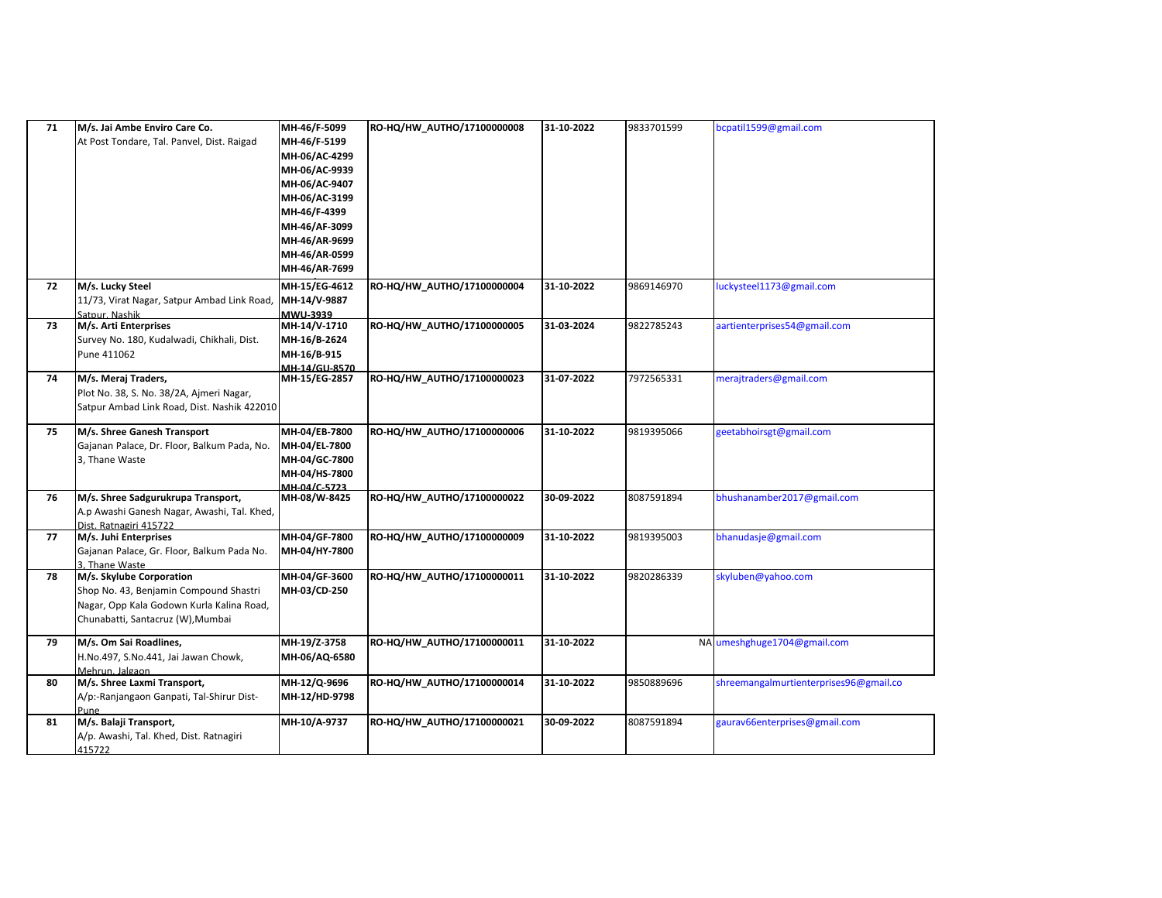| 71 | M/s. Jai Ambe Enviro Care Co.               | MH-46/F-5099  | RO-HQ/HW_AUTHO/17100000008 | 31-10-2022 | 9833701599 | bcpatil1599@gmail.com                  |
|----|---------------------------------------------|---------------|----------------------------|------------|------------|----------------------------------------|
|    | At Post Tondare, Tal. Panvel, Dist. Raigad  | MH-46/F-5199  |                            |            |            |                                        |
|    |                                             | MH-06/AC-4299 |                            |            |            |                                        |
|    |                                             | MH-06/AC-9939 |                            |            |            |                                        |
|    |                                             | MH-06/AC-9407 |                            |            |            |                                        |
|    |                                             | MH-06/AC-3199 |                            |            |            |                                        |
|    |                                             | MH-46/F-4399  |                            |            |            |                                        |
|    |                                             | MH-46/AF-3099 |                            |            |            |                                        |
|    |                                             | MH-46/AR-9699 |                            |            |            |                                        |
|    |                                             | MH-46/AR-0599 |                            |            |            |                                        |
|    |                                             | MH-46/AR-7699 |                            |            |            |                                        |
| 72 | M/s. Lucky Steel                            | MH-15/EG-4612 | RO-HQ/HW_AUTHO/17100000004 | 31-10-2022 | 9869146970 | luckysteel1173@gmail.com               |
|    | 11/73, Virat Nagar, Satpur Ambad Link Road  | MH-14/V-9887  |                            |            |            |                                        |
|    | Satpur. Nashik                              | MWU-3939      |                            |            |            |                                        |
| 73 | M/s. Arti Enterprises                       | MH-14/V-1710  | RO-HQ/HW_AUTHO/17100000005 | 31-03-2024 | 9822785243 | aartienterprises54@gmail.com           |
|    | Survey No. 180, Kudalwadi, Chikhali, Dist.  | MH-16/B-2624  |                            |            |            |                                        |
|    | Pune 411062                                 | MH-16/B-915   |                            |            |            |                                        |
|    |                                             | MH-14/GU-8570 |                            |            |            |                                        |
| 74 | M/s. Meraj Traders,                         | MH-15/EG-2857 | RO-HQ/HW_AUTHO/17100000023 | 31-07-2022 | 7972565331 | merajtraders@gmail.com                 |
|    | Plot No. 38, S. No. 38/2A, Ajmeri Nagar,    |               |                            |            |            |                                        |
|    | Satpur Ambad Link Road, Dist. Nashik 422010 |               |                            |            |            |                                        |
| 75 | M/s. Shree Ganesh Transport                 | MH-04/EB-7800 | RO-HQ/HW_AUTHO/17100000006 | 31-10-2022 | 9819395066 | geetabhoirsgt@gmail.com                |
|    | Gajanan Palace, Dr. Floor, Balkum Pada, No. | MH-04/EL-7800 |                            |            |            |                                        |
|    | 3, Thane Waste                              | MH-04/GC-7800 |                            |            |            |                                        |
|    |                                             | MH-04/HS-7800 |                            |            |            |                                        |
|    |                                             | MH-04/C-5723  |                            |            |            |                                        |
| 76 | M/s. Shree Sadgurukrupa Transport,          | MH-08/W-8425  | RO-HQ/HW_AUTHO/17100000022 | 30-09-2022 | 8087591894 | bhushanamber2017@gmail.com             |
|    | A.p Awashi Ganesh Nagar, Awashi, Tal. Khed, |               |                            |            |            |                                        |
|    | Dist. Ratnagiri 415722                      |               |                            |            |            |                                        |
| 77 | M/s. Juhi Enterprises                       | MH-04/GF-7800 | RO-HQ/HW_AUTHO/17100000009 | 31-10-2022 | 9819395003 | bhanudasje@gmail.com                   |
|    | Gajanan Palace, Gr. Floor, Balkum Pada No.  | MH-04/HY-7800 |                            |            |            |                                        |
|    | 3. Thane Waste                              |               |                            |            |            |                                        |
| 78 | M/s. Skylube Corporation                    | MH-04/GF-3600 | RO-HQ/HW_AUTHO/17100000011 | 31-10-2022 | 9820286339 | skyluben@yahoo.com                     |
|    | Shop No. 43, Benjamin Compound Shastri      | MH-03/CD-250  |                            |            |            |                                        |
|    | Nagar, Opp Kala Godown Kurla Kalina Road,   |               |                            |            |            |                                        |
|    | Chunabatti, Santacruz (W), Mumbai           |               |                            |            |            |                                        |
| 79 | M/s. Om Sai Roadlines,                      | MH-19/Z-3758  | RO-HQ/HW_AUTHO/17100000011 | 31-10-2022 |            | NA umeshghuge1704@gmail.com            |
|    | H.No.497, S.No.441, Jai Jawan Chowk,        | MH-06/AQ-6580 |                            |            |            |                                        |
|    | Mehrun, Jalgaon                             |               |                            |            |            |                                        |
| 80 | M/s. Shree Laxmi Transport,                 | MH-12/Q-9696  | RO-HQ/HW_AUTHO/17100000014 | 31-10-2022 | 9850889696 | shreemangalmurtienterprises96@gmail.co |
|    | A/p:-Ranjangaon Ganpati, Tal-Shirur Dist-   | MH-12/HD-9798 |                            |            |            |                                        |
|    | Pune                                        |               |                            |            |            |                                        |
| 81 | M/s. Balaji Transport,                      | MH-10/A-9737  | RO-HQ/HW_AUTHO/17100000021 | 30-09-2022 | 8087591894 | gaurav66enterprises@gmail.com          |
|    | A/p. Awashi, Tal. Khed, Dist. Ratnagiri     |               |                            |            |            |                                        |
|    | 415722                                      |               |                            |            |            |                                        |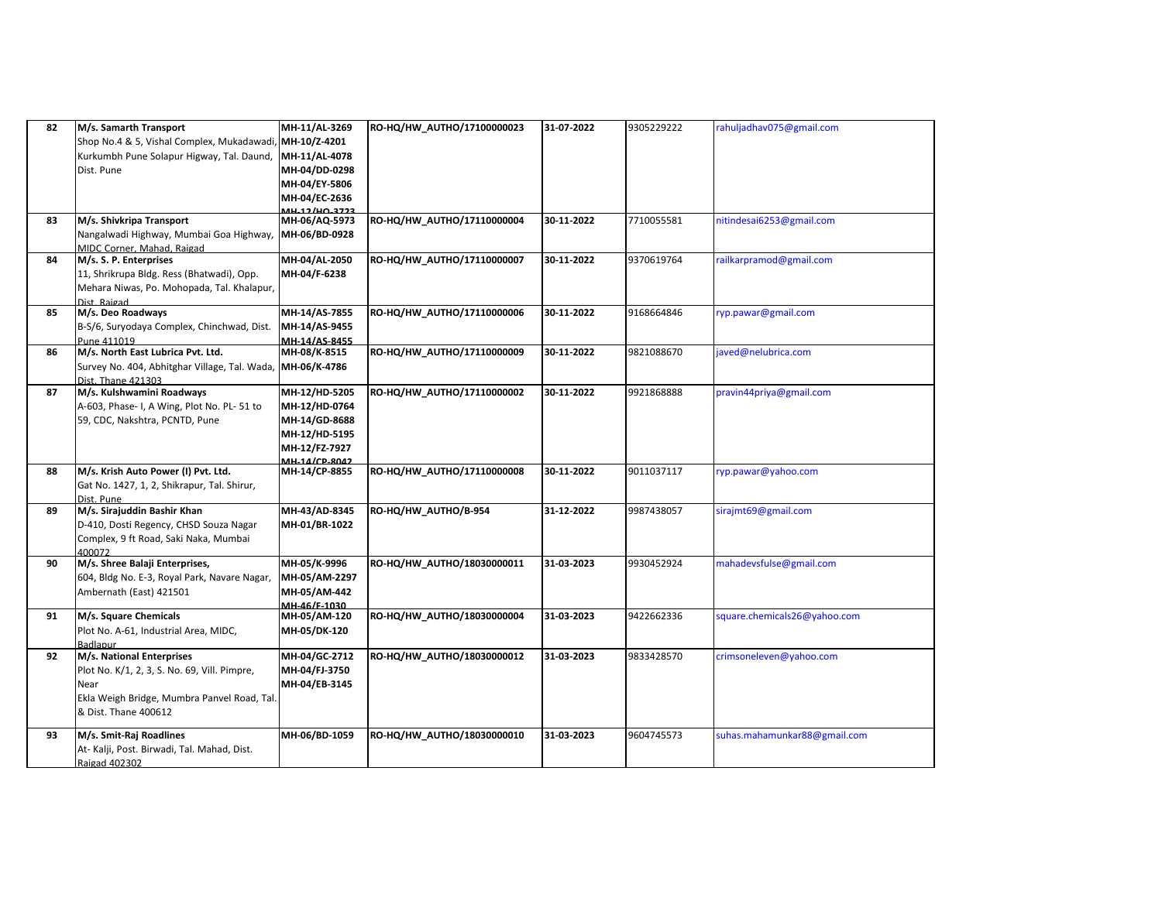| 82 | M/s. Samarth Transport                                              | MH-11/AL-3269                 | RO-HQ/HW_AUTHO/17100000023 | 31-07-2022 | 9305229222 | rahuljadhav075@gmail.com     |
|----|---------------------------------------------------------------------|-------------------------------|----------------------------|------------|------------|------------------------------|
|    | Shop No.4 & 5, Vishal Complex, Mukadawadi,                          | MH-10/Z-4201                  |                            |            |            |                              |
|    | Kurkumbh Pune Solapur Higway, Tal. Daund,                           | MH-11/AL-4078                 |                            |            |            |                              |
|    | Dist. Pune                                                          | MH-04/DD-0298                 |                            |            |            |                              |
|    |                                                                     | MH-04/EY-5806                 |                            |            |            |                              |
|    |                                                                     | MH-04/EC-2636                 |                            |            |            |                              |
| 83 | M/s. Shivkripa Transport                                            | MH-06/AQ-5973                 | RO-HQ/HW_AUTHO/17110000004 | 30-11-2022 | 7710055581 | nitindesai6253@gmail.com     |
|    | Nangalwadi Highway, Mumbai Goa Highway,                             | MH-06/BD-0928                 |                            |            |            |                              |
|    | MIDC Corner. Mahad. Raigad                                          |                               |                            |            |            |                              |
| 84 | M/s. S. P. Enterprises                                              | MH-04/AL-2050                 | RO-HQ/HW_AUTHO/17110000007 | 30-11-2022 | 9370619764 | railkarpramod@gmail.com      |
|    | 11, Shrikrupa Bldg. Ress (Bhatwadi), Opp.                           | MH-04/F-6238                  |                            |            |            |                              |
|    | Mehara Niwas, Po. Mohopada, Tal. Khalapur,                          |                               |                            |            |            |                              |
|    | Dist, Raigad                                                        |                               |                            |            |            |                              |
| 85 | M/s. Deo Roadways                                                   | MH-14/AS-7855                 | RO-HQ/HW_AUTHO/17110000006 | 30-11-2022 | 9168664846 | ryp.pawar@gmail.com          |
|    | B-S/6, Suryodaya Complex, Chinchwad, Dist.                          | MH-14/AS-9455                 |                            |            |            |                              |
| 86 | Pune 411019<br>M/s. North East Lubrica Pvt. Ltd.                    | MH-14/AS-8455<br>MH-08/K-8515 | RO-HQ/HW_AUTHO/17110000009 | 30-11-2022 | 9821088670 | javed@nelubrica.com          |
|    |                                                                     |                               |                            |            |            |                              |
|    | Survey No. 404, Abhitghar Village, Tal. Wada,<br>Dist. Thane 421303 | MH-06/K-4786                  |                            |            |            |                              |
| 87 | M/s. Kulshwamini Roadways                                           | MH-12/HD-5205                 | RO-HQ/HW_AUTHO/17110000002 | 30-11-2022 | 9921868888 | pravin44priya@gmail.com      |
|    | A-603, Phase- I, A Wing, Plot No. PL- 51 to                         | MH-12/HD-0764                 |                            |            |            |                              |
|    | 59, CDC, Nakshtra, PCNTD, Pune                                      | MH-14/GD-8688                 |                            |            |            |                              |
|    |                                                                     | MH-12/HD-5195                 |                            |            |            |                              |
|    |                                                                     | MH-12/FZ-7927                 |                            |            |            |                              |
|    |                                                                     | MH 14/CD 8042                 |                            |            |            |                              |
| 88 | M/s. Krish Auto Power (I) Pvt. Ltd.                                 | MH-14/CP-8855                 | RO-HQ/HW_AUTHO/17110000008 | 30-11-2022 | 9011037117 | ryp.pawar@yahoo.com          |
|    | Gat No. 1427, 1, 2, Shikrapur, Tal. Shirur,                         |                               |                            |            |            |                              |
|    | Dist. Pune                                                          |                               |                            |            |            |                              |
| 89 | M/s. Sirajuddin Bashir Khan                                         | MH-43/AD-8345                 | RO-HQ/HW AUTHO/B-954       | 31-12-2022 | 9987438057 | sirajmt69@gmail.com          |
|    | D-410, Dosti Regency, CHSD Souza Nagar                              | MH-01/BR-1022                 |                            |            |            |                              |
|    | Complex, 9 ft Road, Saki Naka, Mumbai                               |                               |                            |            |            |                              |
| 90 | 400072<br>M/s. Shree Balaji Enterprises,                            | MH-05/K-9996                  | RO-HQ/HW_AUTHO/18030000011 | 31-03-2023 | 9930452924 | mahadevsfulse@gmail.com      |
|    | 604, Bldg No. E-3, Royal Park, Navare Nagar,                        | MH-05/AM-2297                 |                            |            |            |                              |
|    | Ambernath (East) 421501                                             | MH-05/AM-442                  |                            |            |            |                              |
|    |                                                                     | MH-46/F-1030                  |                            |            |            |                              |
| 91 | M/s. Square Chemicals                                               | MH-05/AM-120                  | RO-HQ/HW_AUTHO/18030000004 | 31-03-2023 | 9422662336 | square.chemicals26@yahoo.com |
|    | Plot No. A-61, Industrial Area, MIDC,                               | MH-05/DK-120                  |                            |            |            |                              |
|    | Badlapur                                                            |                               |                            |            |            |                              |
| 92 | M/s. National Enterprises                                           | MH-04/GC-2712                 | RO-HQ/HW_AUTHO/18030000012 | 31-03-2023 | 9833428570 | crimsoneleven@yahoo.com      |
|    | Plot No. K/1, 2, 3, S. No. 69, Vill. Pimpre,                        | MH-04/FJ-3750                 |                            |            |            |                              |
|    | Near                                                                | MH-04/EB-3145                 |                            |            |            |                              |
|    | Ekla Weigh Bridge, Mumbra Panvel Road, Tal.                         |                               |                            |            |            |                              |
|    | & Dist. Thane 400612                                                |                               |                            |            |            |                              |
| 93 | M/s. Smit-Raj Roadlines                                             | MH-06/BD-1059                 | RO-HQ/HW_AUTHO/18030000010 | 31-03-2023 | 9604745573 | suhas.mahamunkar88@gmail.com |
|    | At- Kalji, Post. Birwadi, Tal. Mahad, Dist.                         |                               |                            |            |            |                              |
|    | Raigad 402302                                                       |                               |                            |            |            |                              |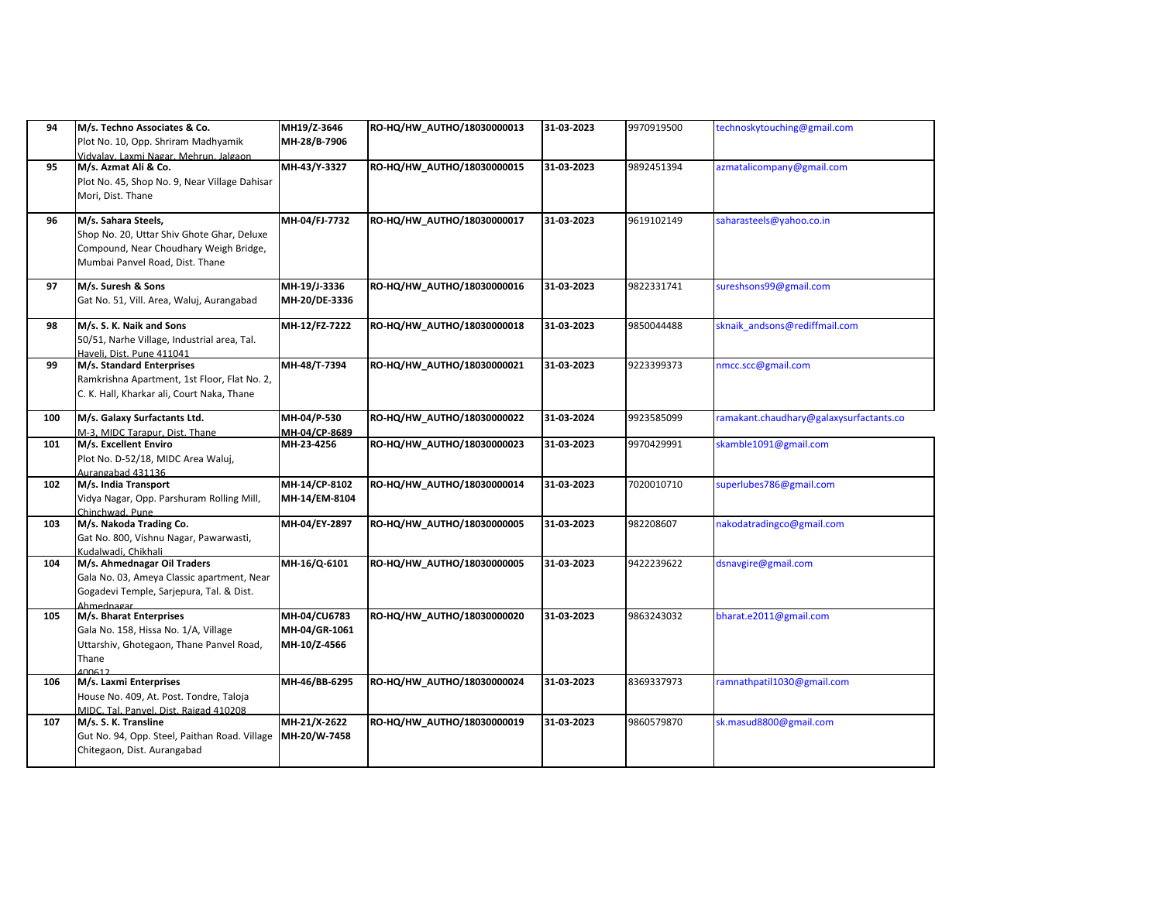| 94  | M/s. Techno Associates & Co.<br>Plot No. 10, Opp. Shriram Madhyamik<br>Vidvalav, Laxmi Nagar, Mehrun, Jalgaon                                  | MH19/Z-3646<br>MH-28/B-7906                   | RO-HQ/HW_AUTHO/18030000013 | 31-03-2023 | 9970919500 | technoskytouching@gmail.com             |
|-----|------------------------------------------------------------------------------------------------------------------------------------------------|-----------------------------------------------|----------------------------|------------|------------|-----------------------------------------|
| 95  | M/s. Azmat Ali & Co.<br>Plot No. 45, Shop No. 9, Near Village Dahisar<br>Mori, Dist. Thane                                                     | MH-43/Y-3327                                  | RO-HQ/HW_AUTHO/18030000015 | 31-03-2023 | 9892451394 | azmatalicompany@gmail.com               |
| 96  | M/s. Sahara Steels,<br>Shop No. 20, Uttar Shiv Ghote Ghar, Deluxe<br>Compound, Near Choudhary Weigh Bridge,<br>Mumbai Panvel Road, Dist. Thane | MH-04/FJ-7732                                 | RO-HQ/HW_AUTHO/18030000017 | 31-03-2023 | 9619102149 | saharasteels@yahoo.co.in                |
| 97  | M/s. Suresh & Sons<br>Gat No. 51, Vill. Area, Waluj, Aurangabad                                                                                | MH-19/J-3336<br>MH-20/DE-3336                 | RO-HQ/HW_AUTHO/18030000016 | 31-03-2023 | 9822331741 | sureshsons99@gmail.com                  |
| 98  | M/s. S. K. Naik and Sons<br>50/51, Narhe Village, Industrial area, Tal.<br>Haveli. Dist. Pune 411041                                           | MH-12/FZ-7222                                 | RO-HQ/HW_AUTHO/18030000018 | 31-03-2023 | 9850044488 | sknaik andsons@rediffmail.com           |
| 99  | M/s. Standard Enterprises<br>Ramkrishna Apartment, 1st Floor, Flat No. 2,<br>C. K. Hall, Kharkar ali, Court Naka, Thane                        | MH-48/T-7394                                  | RO-HQ/HW_AUTHO/18030000021 | 31-03-2023 | 9223399373 | nmcc.scc@gmail.com                      |
| 100 | M/s. Galaxy Surfactants Ltd.<br>M-3, MIDC Tarapur, Dist. Thane                                                                                 | MH-04/P-530<br>MH-04/CP-8689                  | RO-HQ/HW_AUTHO/18030000022 | 31-03-2024 | 9923585099 | ramakant.chaudhary@galaxysurfactants.co |
| 101 | M/s. Excellent Enviro<br>Plot No. D-52/18, MIDC Area Waluj,<br>Aurangabad 431136                                                               | MH-23-4256                                    | RO-HQ/HW_AUTHO/18030000023 | 31-03-2023 | 9970429991 | skamble1091@gmail.com                   |
| 102 | M/s. India Transport<br>Vidya Nagar, Opp. Parshuram Rolling Mill,<br>Chinchwad. Pune                                                           | MH-14/CP-8102<br>MH-14/EM-8104                | RO-HQ/HW_AUTHO/18030000014 | 31-03-2023 | 7020010710 | superlubes786@gmail.com                 |
| 103 | M/s. Nakoda Trading Co.<br>Gat No. 800, Vishnu Nagar, Pawarwasti,<br>Kudalwadi, Chikhali                                                       | MH-04/EY-2897                                 | RO-HQ/HW_AUTHO/18030000005 | 31-03-2023 | 982208607  | nakodatradingco@gmail.com               |
| 104 | M/s. Ahmednagar Oil Traders<br>Gala No. 03, Ameya Classic apartment, Near<br>Gogadevi Temple, Sarjepura, Tal. & Dist.<br>Ahmednagar            | MH-16/Q-6101                                  | RO-HQ/HW_AUTHO/18030000005 | 31-03-2023 | 9422239622 | dsnavgire@gmail.com                     |
| 105 | M/s. Bharat Enterprises<br>Gala No. 158, Hissa No. 1/A, Village<br>Uttarshiv, Ghotegaon, Thane Panvel Road,<br>Thane<br>100512                 | MH-04/CU6783<br>MH-04/GR-1061<br>MH-10/Z-4566 | RO-HQ/HW AUTHO/18030000020 | 31-03-2023 | 9863243032 | bharat.e2011@gmail.com                  |
| 106 | M/s. Laxmi Enterprises<br>House No. 409, At. Post. Tondre, Taloja<br>MIDC, Tal. Panyel, Dist. Raigad 410208                                    | MH-46/BB-6295                                 | RO-HQ/HW_AUTHO/18030000024 | 31-03-2023 | 8369337973 | ramnathpatil1030@gmail.com              |
| 107 | M/s. S. K. Transline<br>Gut No. 94, Opp. Steel, Paithan Road. Village<br>Chitegaon, Dist. Aurangabad                                           | MH-21/X-2622<br>MH-20/W-7458                  | RO-HQ/HW_AUTHO/18030000019 | 31-03-2023 | 9860579870 | sk.masud8800@gmail.com                  |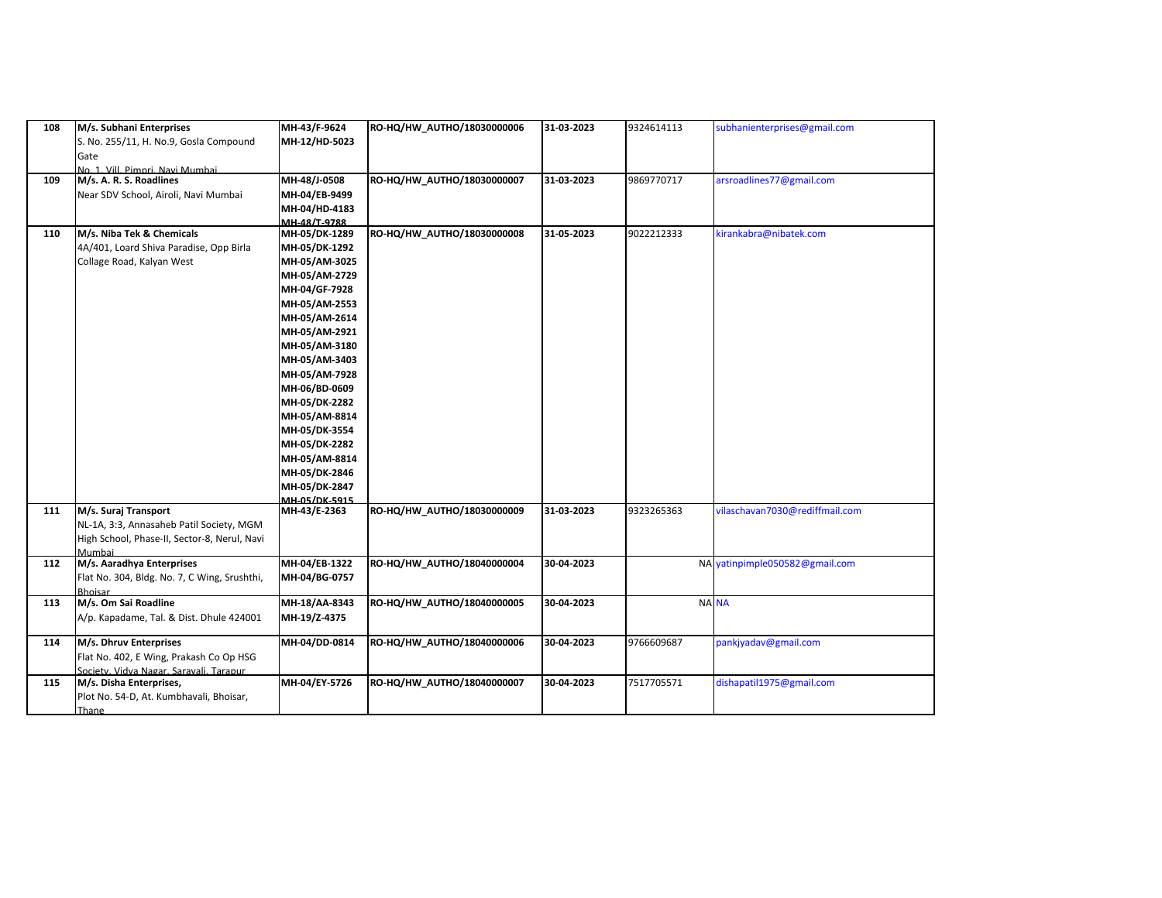| 108 | M/s. Subhani Enterprises                     | MH-43/F-9624         | RO-HQ/HW_AUTHO/18030000006 | 31-03-2023 | 9324614113 | subhanienterprises@gmail.com   |
|-----|----------------------------------------------|----------------------|----------------------------|------------|------------|--------------------------------|
|     | S. No. 255/11, H. No.9, Gosla Compound       | MH-12/HD-5023        |                            |            |            |                                |
|     | Gate                                         |                      |                            |            |            |                                |
|     | No. 1. Vill. Pimnri. Navi Mumhai.            |                      |                            |            |            |                                |
| 109 | M/s. A. R. S. Roadlines                      | MH-48/J-0508         | RO-HQ/HW_AUTHO/18030000007 | 31-03-2023 | 9869770717 | arsroadlines77@gmail.com       |
|     | Near SDV School, Airoli, Navi Mumbai         | MH-04/EB-9499        |                            |            |            |                                |
|     |                                              | MH-04/HD-4183        |                            |            |            |                                |
|     |                                              | MH-48/T-9788         |                            |            |            |                                |
| 110 | M/s. Niba Tek & Chemicals                    | MH-05/DK-1289        | RO-HQ/HW_AUTHO/18030000008 | 31-05-2023 | 9022212333 | kirankabra@nibatek.com         |
|     | 4A/401, Loard Shiva Paradise, Opp Birla      | MH-05/DK-1292        |                            |            |            |                                |
|     | Collage Road, Kalyan West                    | MH-05/AM-3025        |                            |            |            |                                |
|     |                                              | MH-05/AM-2729        |                            |            |            |                                |
|     |                                              | MH-04/GF-7928        |                            |            |            |                                |
|     |                                              | MH-05/AM-2553        |                            |            |            |                                |
|     |                                              | MH-05/AM-2614        |                            |            |            |                                |
|     |                                              | MH-05/AM-2921        |                            |            |            |                                |
|     |                                              | MH-05/AM-3180        |                            |            |            |                                |
|     |                                              | MH-05/AM-3403        |                            |            |            |                                |
|     |                                              | MH-05/AM-7928        |                            |            |            |                                |
|     |                                              | MH-06/BD-0609        |                            |            |            |                                |
|     |                                              | MH-05/DK-2282        |                            |            |            |                                |
|     |                                              | MH-05/AM-8814        |                            |            |            |                                |
|     |                                              | MH-05/DK-3554        |                            |            |            |                                |
|     |                                              | MH-05/DK-2282        |                            |            |            |                                |
|     |                                              | MH-05/AM-8814        |                            |            |            |                                |
|     |                                              | MH-05/DK-2846        |                            |            |            |                                |
|     |                                              | MH-05/DK-2847        |                            |            |            |                                |
|     |                                              | <b>MH-05/DK-5915</b> |                            |            |            |                                |
| 111 | M/s. Suraj Transport                         | MH-43/E-2363         | RO-HQ/HW_AUTHO/18030000009 | 31-03-2023 | 9323265363 | vilaschavan7030@rediffmail.com |
|     | NL-1A, 3:3, Annasaheb Patil Society, MGM     |                      |                            |            |            |                                |
|     | High School, Phase-II, Sector-8, Nerul, Navi |                      |                            |            |            |                                |
|     | Mumbai                                       |                      |                            |            |            |                                |
| 112 | M/s. Aaradhya Enterprises                    | MH-04/EB-1322        | RO-HQ/HW_AUTHO/18040000004 | 30-04-2023 |            | NA yatinpimple050582@gmail.com |
|     | Flat No. 304, Bldg. No. 7, C Wing, Srushthi, | MH-04/BG-0757        |                            |            |            |                                |
|     | <b>Bhoisar</b>                               |                      |                            |            |            |                                |
| 113 | M/s. Om Sai Roadline                         | MH-18/AA-8343        | RO-HQ/HW_AUTHO/18040000005 | 30-04-2023 |            | NA NA                          |
|     | A/p. Kapadame, Tal. & Dist. Dhule 424001     | MH-19/Z-4375         |                            |            |            |                                |
|     |                                              |                      |                            |            |            |                                |
| 114 | M/s. Dhruv Enterprises                       | MH-04/DD-0814        | RO-HQ/HW AUTHO/18040000006 | 30-04-2023 | 9766609687 | pankjyadav@gmail.com           |
|     | Flat No. 402, E Wing, Prakash Co Op HSG      |                      |                            |            |            |                                |
|     | Society. Vidva Nagar, Saravali, Tarapur      |                      |                            |            |            |                                |
| 115 | M/s. Disha Enterprises,                      | MH-04/EY-5726        | RO-HQ/HW_AUTHO/18040000007 | 30-04-2023 | 7517705571 | dishapatil1975@gmail.com       |
|     | Plot No. 54-D, At. Kumbhavali, Bhoisar,      |                      |                            |            |            |                                |
|     | Thane                                        |                      |                            |            |            |                                |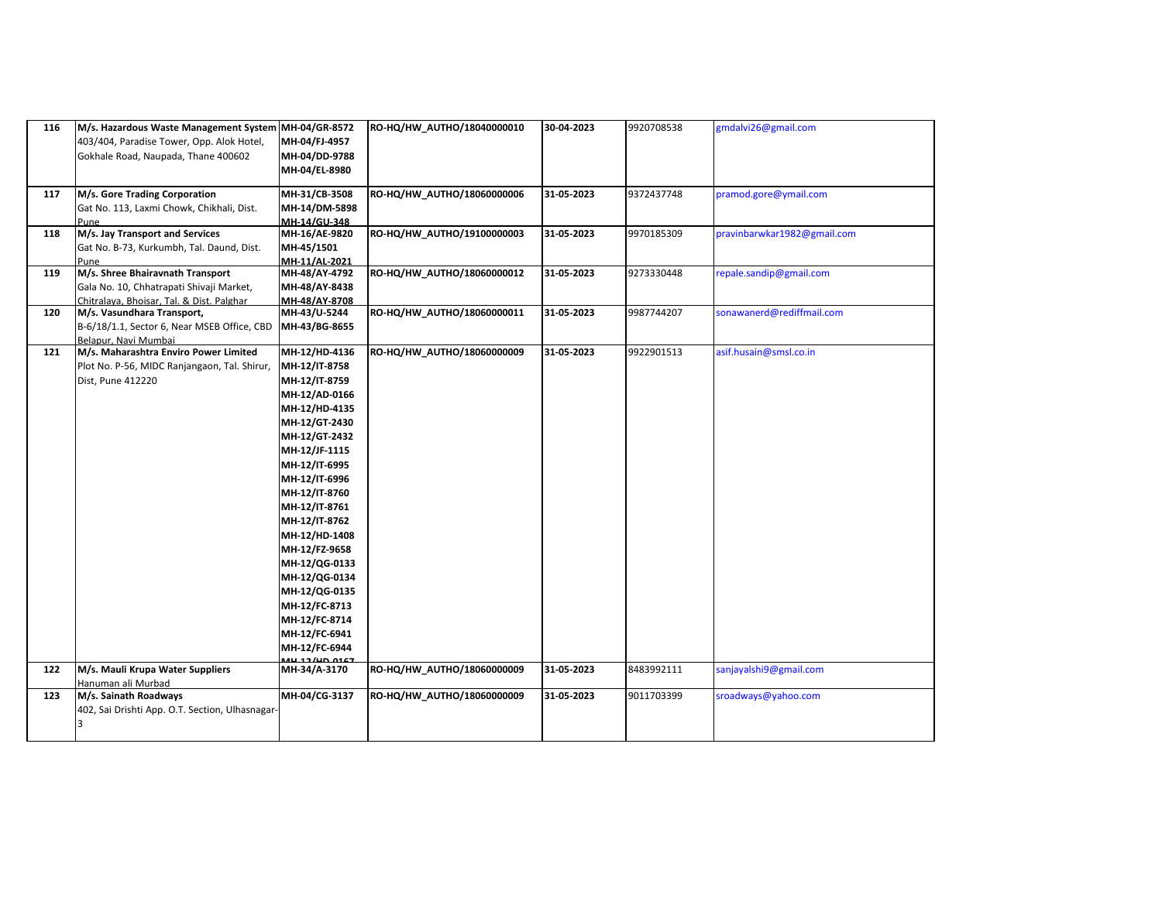| 116 | M/s. Hazardous Waste Management System MH-04/GR-8572                    |                               | RO-HQ/HW_AUTHO/18040000010 | 30-04-2023 | 9920708538 | gmdalvi26@gmail.com         |
|-----|-------------------------------------------------------------------------|-------------------------------|----------------------------|------------|------------|-----------------------------|
|     | 403/404, Paradise Tower, Opp. Alok Hotel,                               | MH-04/FJ-4957                 |                            |            |            |                             |
|     | Gokhale Road, Naupada, Thane 400602                                     | MH-04/DD-9788                 |                            |            |            |                             |
|     |                                                                         | MH-04/EL-8980                 |                            |            |            |                             |
|     |                                                                         |                               |                            |            |            |                             |
| 117 | M/s. Gore Trading Corporation                                           | MH-31/CB-3508                 | RO-HQ/HW_AUTHO/18060000006 | 31-05-2023 | 9372437748 | pramod.gore@ymail.com       |
|     | Gat No. 113, Laxmi Chowk, Chikhali, Dist.                               | MH-14/DM-5898                 |                            |            |            |                             |
|     | Pune                                                                    | MH-14/GU-348                  |                            |            |            |                             |
| 118 | M/s. Jay Transport and Services                                         | MH-16/AE-9820                 | RO-HQ/HW AUTHO/19100000003 | 31-05-2023 | 9970185309 | pravinbarwkar1982@gmail.com |
|     | Gat No. B-73, Kurkumbh, Tal. Daund, Dist.                               | MH-45/1501                    |                            |            |            |                             |
|     | Pune                                                                    | MH-11/AL-2021                 |                            |            |            |                             |
| 119 | M/s. Shree Bhairavnath Transport                                        | MH-48/AY-4792                 | RO-HQ/HW_AUTHO/18060000012 | 31-05-2023 | 9273330448 | repale.sandip@gmail.com     |
|     | Gala No. 10, Chhatrapati Shivaji Market,                                | MH-48/AY-8438                 |                            |            |            |                             |
| 120 | Chitralava, Bhoisar, Tal. & Dist. Palghar<br>M/s. Vasundhara Transport, | MH-48/AY-8708<br>MH-43/U-5244 | RO-HQ/HW_AUTHO/18060000011 | 31-05-2023 | 9987744207 | sonawanerd@rediffmail.com   |
|     | B-6/18/1.1, Sector 6, Near MSEB Office, CBD                             |                               |                            |            |            |                             |
|     | Belapur. Navi Mumbai                                                    | MH-43/BG-8655                 |                            |            |            |                             |
| 121 | M/s. Maharashtra Enviro Power Limited                                   | MH-12/HD-4136                 | RO-HQ/HW_AUTHO/18060000009 | 31-05-2023 | 9922901513 | asif.husain@smsl.co.in      |
|     | Plot No. P-56, MIDC Ranjangaon, Tal. Shirur,                            | MH-12/IT-8758                 |                            |            |            |                             |
|     | Dist, Pune 412220                                                       | MH-12/IT-8759                 |                            |            |            |                             |
|     |                                                                         | MH-12/AD-0166                 |                            |            |            |                             |
|     |                                                                         | MH-12/HD-4135                 |                            |            |            |                             |
|     |                                                                         | MH-12/GT-2430                 |                            |            |            |                             |
|     |                                                                         | MH-12/GT-2432                 |                            |            |            |                             |
|     |                                                                         | MH-12/JF-1115                 |                            |            |            |                             |
|     |                                                                         |                               |                            |            |            |                             |
|     |                                                                         | MH-12/IT-6995                 |                            |            |            |                             |
|     |                                                                         | MH-12/IT-6996                 |                            |            |            |                             |
|     |                                                                         | MH-12/IT-8760                 |                            |            |            |                             |
|     |                                                                         | MH-12/IT-8761                 |                            |            |            |                             |
|     |                                                                         | MH-12/IT-8762                 |                            |            |            |                             |
|     |                                                                         | MH-12/HD-1408                 |                            |            |            |                             |
|     |                                                                         | MH-12/FZ-9658                 |                            |            |            |                             |
|     |                                                                         | MH-12/QG-0133                 |                            |            |            |                             |
|     |                                                                         | MH-12/QG-0134                 |                            |            |            |                             |
|     |                                                                         | MH-12/QG-0135                 |                            |            |            |                             |
|     |                                                                         | MH-12/FC-8713                 |                            |            |            |                             |
|     |                                                                         | MH-12/FC-8714                 |                            |            |            |                             |
|     |                                                                         | MH-12/FC-6941                 |                            |            |            |                             |
|     |                                                                         | MH-12/FC-6944                 |                            |            |            |                             |
| 122 | M/s. Mauli Krupa Water Suppliers                                        | MH-34/A-3170                  | RO-HQ/HW_AUTHO/18060000009 | 31-05-2023 | 8483992111 | sanjayalshi9@gmail.com      |
|     | Hanuman ali Murbad                                                      |                               |                            |            |            |                             |
| 123 | M/s. Sainath Roadways                                                   | MH-04/CG-3137                 | RO-HQ/HW_AUTHO/18060000009 | 31-05-2023 | 9011703399 | sroadways@yahoo.com         |
|     | 402, Sai Drishti App. O.T. Section, Ulhasnagar-                         |                               |                            |            |            |                             |
|     |                                                                         |                               |                            |            |            |                             |
|     |                                                                         |                               |                            |            |            |                             |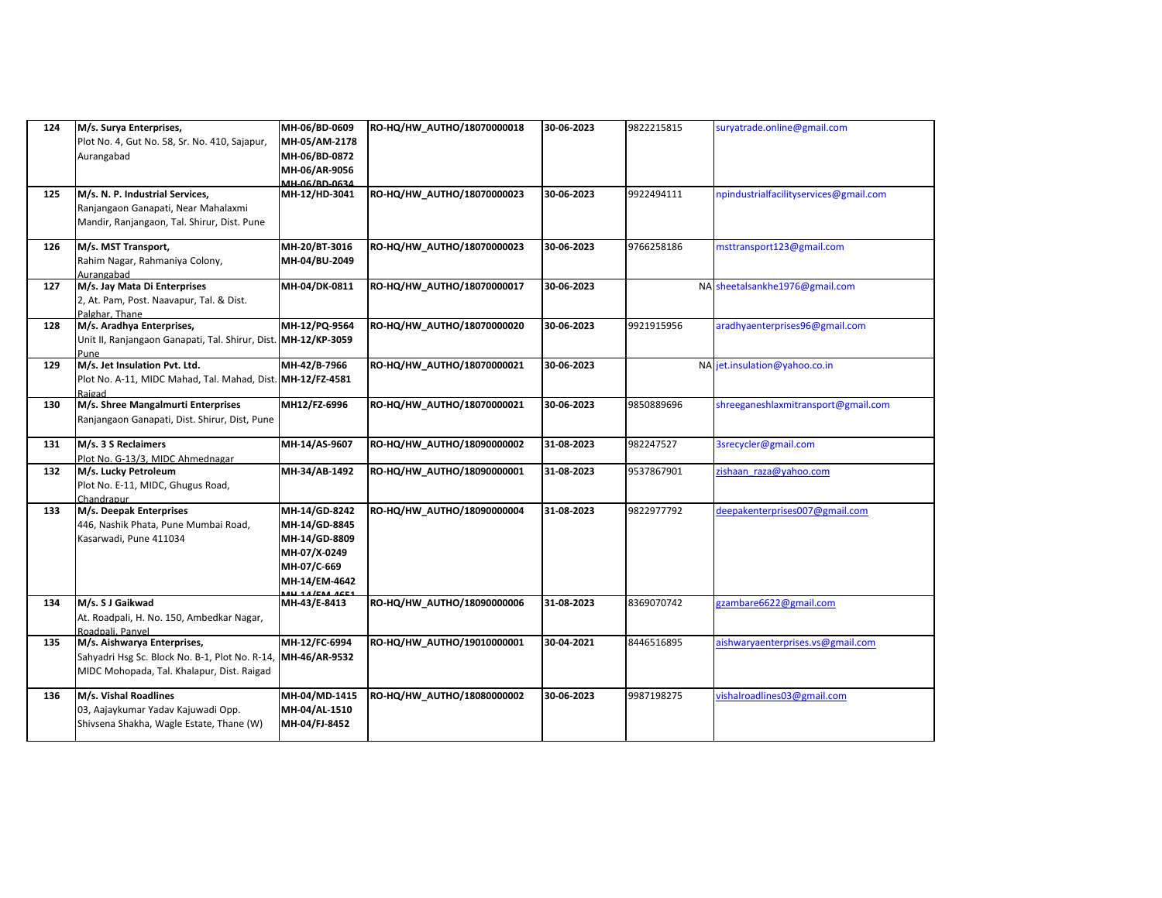| 124 | M/s. Surya Enterprises,<br>Plot No. 4, Gut No. 58, Sr. No. 410, Sajapur,<br>Aurangabad                                      | MH-06/BD-0609<br>MH-05/AM-2178<br>MH-06/BD-0872<br>MH-06/AR-9056<br>MH-06/RD-0634               | RO-HQ/HW_AUTHO/18070000018 | 30-06-2023 | 9822215815 | suryatrade.online@gmail.com            |
|-----|-----------------------------------------------------------------------------------------------------------------------------|-------------------------------------------------------------------------------------------------|----------------------------|------------|------------|----------------------------------------|
| 125 | M/s. N. P. Industrial Services,<br>Ranjangaon Ganapati, Near Mahalaxmi<br>Mandir, Ranjangaon, Tal. Shirur, Dist. Pune       | MH-12/HD-3041                                                                                   | RO-HQ/HW_AUTHO/18070000023 | 30-06-2023 | 9922494111 | npindustrialfacilityservices@gmail.com |
| 126 | M/s. MST Transport,<br>Rahim Nagar, Rahmaniya Colony,<br>Aurangabad                                                         | MH-20/BT-3016<br>MH-04/BU-2049                                                                  | RO-HQ/HW_AUTHO/18070000023 | 30-06-2023 | 9766258186 | msttransport123@gmail.com              |
| 127 | M/s. Jay Mata Di Enterprises<br>2, At. Pam, Post. Naavapur, Tal. & Dist.<br>Palghar, Thane                                  | MH-04/DK-0811                                                                                   | RO-HQ/HW_AUTHO/18070000017 | 30-06-2023 |            | NA sheetalsankhe1976@gmail.com         |
| 128 | M/s. Aradhya Enterprises,<br>Unit II, Ranjangaon Ganapati, Tal. Shirur, Dist. MH-12/KP-3059<br>Pune                         | MH-12/PQ-9564                                                                                   | RO-HQ/HW_AUTHO/18070000020 | 30-06-2023 | 9921915956 | aradhyaenterprises96@gmail.com         |
| 129 | M/s. Jet Insulation Pvt. Ltd.<br>Plot No. A-11, MIDC Mahad, Tal. Mahad, Dist. MH-12/FZ-4581<br>Raigad                       | MH-42/B-7966                                                                                    | RO-HQ/HW_AUTHO/18070000021 | 30-06-2023 |            | NA jet.insulation@yahoo.co.in          |
| 130 | M/s. Shree Mangalmurti Enterprises<br>Ranjangaon Ganapati, Dist. Shirur, Dist, Pune                                         | MH12/FZ-6996                                                                                    | RO-HQ/HW_AUTHO/18070000021 | 30-06-2023 | 9850889696 | shreeganeshlaxmitransport@gmail.com    |
| 131 | M/s. 3 S Reclaimers<br>Plot No. G-13/3, MIDC Ahmednagar                                                                     | MH-14/AS-9607                                                                                   | RO-HQ/HW_AUTHO/18090000002 | 31-08-2023 | 982247527  | 3srecycler@gmail.com                   |
| 132 | M/s. Lucky Petroleum<br>Plot No. E-11, MIDC, Ghugus Road,<br>Chandrapur                                                     | MH-34/AB-1492                                                                                   | RO-HQ/HW_AUTHO/18090000001 | 31-08-2023 | 9537867901 | zishaan raza@yahoo.com                 |
| 133 | M/s. Deepak Enterprises<br>446, Nashik Phata, Pune Mumbai Road,<br>Kasarwadi, Pune 411034                                   | MH-14/GD-8242<br>MH-14/GD-8845<br>MH-14/GD-8809<br>MH-07/X-0249<br>MH-07/C-669<br>MH-14/EM-4642 | RO-HQ/HW_AUTHO/18090000004 | 31-08-2023 | 9822977792 | deepakenterprises007@gmail.com         |
| 134 | M/s. S J Gaikwad<br>At. Roadpali, H. No. 150, Ambedkar Nagar,<br>Roadpali, Panvel                                           | MH-43/E-8413                                                                                    | RO-HQ/HW_AUTHO/18090000006 | 31-08-2023 | 8369070742 | gzambare6622@gmail.com                 |
| 135 | M/s. Aishwarya Enterprises,<br>Sahyadri Hsg Sc. Block No. B-1, Plot No. R-14,<br>MIDC Mohopada, Tal. Khalapur, Dist. Raigad | MH-12/FC-6994<br>MH-46/AR-9532                                                                  | RO-HQ/HW_AUTHO/19010000001 | 30-04-2021 | 8446516895 | aishwaryaenterprises.vs@gmail.com      |
| 136 | M/s. Vishal Roadlines<br>03, Aajaykumar Yadav Kajuwadi Opp.<br>Shivsena Shakha, Wagle Estate, Thane (W)                     | MH-04/MD-1415<br>MH-04/AL-1510<br>MH-04/FJ-8452                                                 | RO-HQ/HW_AUTHO/18080000002 | 30-06-2023 | 9987198275 | vishalroadlines03@gmail.com            |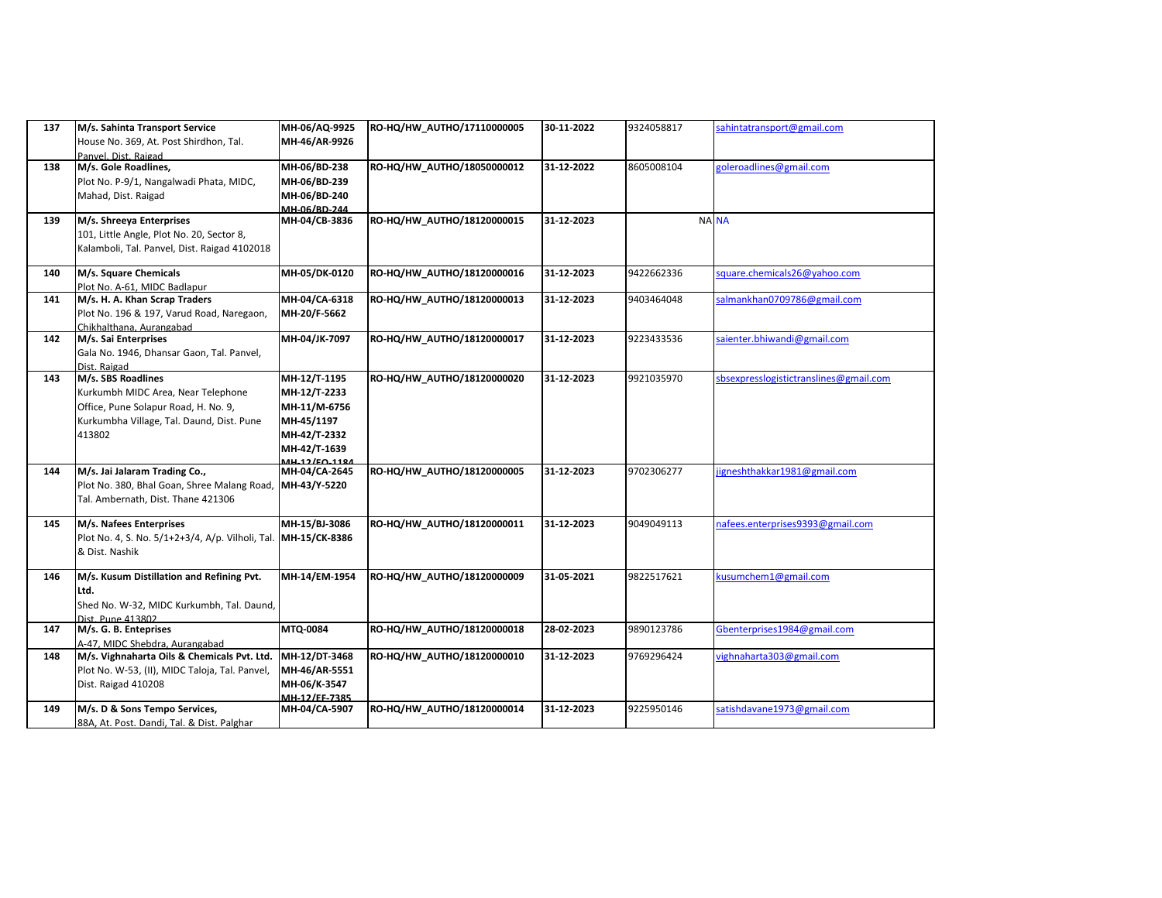| 137 | M/s. Sahinta Transport Service                                                | MH-06/AQ-9925                   | RO-HQ/HW_AUTHO/17110000005 | 30-11-2022 | 9324058817 | sahintatransport@gmail.com             |
|-----|-------------------------------------------------------------------------------|---------------------------------|----------------------------|------------|------------|----------------------------------------|
|     | House No. 369, At. Post Shirdhon, Tal.                                        | MH-46/AR-9926                   |                            |            |            |                                        |
| 138 | Panyel, Dist, Raigad<br>M/s. Gole Roadlines,                                  | MH-06/BD-238                    | RO-HQ/HW_AUTHO/18050000012 | 31-12-2022 | 8605008104 | goleroadlines@gmail.com                |
|     | Plot No. P-9/1, Nangalwadi Phata, MIDC,                                       | MH-06/BD-239                    |                            |            |            |                                        |
|     | Mahad, Dist. Raigad                                                           | MH-06/BD-240                    |                            |            |            |                                        |
|     |                                                                               | MH-06/BD-244                    |                            |            |            |                                        |
| 139 | M/s. Shreeya Enterprises                                                      | MH-04/CB-3836                   | RO-HQ/HW_AUTHO/18120000015 | 31-12-2023 |            | <b>NA NA</b>                           |
|     | 101, Little Angle, Plot No. 20, Sector 8,                                     |                                 |                            |            |            |                                        |
|     | Kalamboli, Tal. Panvel, Dist. Raigad 4102018                                  |                                 |                            |            |            |                                        |
| 140 | M/s. Square Chemicals                                                         | MH-05/DK-0120                   | RO-HQ/HW AUTHO/18120000016 | 31-12-2023 | 9422662336 | square.chemicals26@yahoo.com           |
|     | Plot No. A-61. MIDC Badlapur                                                  |                                 |                            |            |            |                                        |
| 141 | M/s. H. A. Khan Scrap Traders                                                 | MH-04/CA-6318                   | RO-HQ/HW_AUTHO/18120000013 | 31-12-2023 | 9403464048 | salmankhan0709786@gmail.com            |
|     | Plot No. 196 & 197, Varud Road, Naregaon,                                     | MH-20/F-5662                    |                            |            |            |                                        |
|     | Chikhalthana, Aurangabad                                                      |                                 |                            |            |            |                                        |
| 142 | M/s. Sai Enterprises                                                          | MH-04/JK-7097                   | RO-HQ/HW_AUTHO/18120000017 | 31-12-2023 | 9223433536 | saienter.bhiwandi@gmail.com            |
|     | Gala No. 1946, Dhansar Gaon, Tal. Panvel,<br>Dist. Raigad                     |                                 |                            |            |            |                                        |
| 143 | M/s. SBS Roadlines                                                            | MH-12/T-1195                    | RO-HQ/HW_AUTHO/18120000020 | 31-12-2023 | 9921035970 | sbsexpresslogistictranslines@gmail.com |
|     | Kurkumbh MIDC Area, Near Telephone                                            | MH-12/T-2233                    |                            |            |            |                                        |
|     | Office, Pune Solapur Road, H. No. 9,                                          | MH-11/M-6756                    |                            |            |            |                                        |
|     | Kurkumbha Village, Tal. Daund, Dist. Pune                                     | MH-45/1197                      |                            |            |            |                                        |
|     | 413802                                                                        | MH-42/T-2332                    |                            |            |            |                                        |
|     |                                                                               | MH-42/T-1639                    |                            |            |            |                                        |
| 144 | M/s. Jai Jalaram Trading Co.,                                                 | 14H 12/EQ 110A<br>MH-04/CA-2645 | RO-HQ/HW_AUTHO/18120000005 | 31-12-2023 | 9702306277 | jigneshthakkar1981@gmail.com           |
|     | Plot No. 380, Bhal Goan, Shree Malang Road,                                   | MH-43/Y-5220                    |                            |            |            |                                        |
|     | Tal. Ambernath, Dist. Thane 421306                                            |                                 |                            |            |            |                                        |
|     |                                                                               |                                 |                            |            |            |                                        |
| 145 | M/s. Nafees Enterprises                                                       | MH-15/BJ-3086                   | RO-HQ/HW_AUTHO/18120000011 | 31-12-2023 | 9049049113 | nafees.enterprises9393@gmail.com       |
|     | Plot No. 4, S. No. 5/1+2+3/4, A/p. Vilholi, Tal.                              | MH-15/CK-8386                   |                            |            |            |                                        |
|     | & Dist. Nashik                                                                |                                 |                            |            |            |                                        |
| 146 | M/s. Kusum Distillation and Refining Pvt.                                     | MH-14/EM-1954                   | RO-HQ/HW_AUTHO/18120000009 | 31-05-2021 | 9822517621 | kusumchem1@gmail.com                   |
|     | Ltd.                                                                          |                                 |                            |            |            |                                        |
|     | Shed No. W-32, MIDC Kurkumbh, Tal. Daund,                                     |                                 |                            |            |            |                                        |
|     | Dist. Pune 413802                                                             |                                 |                            |            |            |                                        |
| 147 | M/s. G. B. Enteprises                                                         | MTQ-0084                        | RO-HQ/HW_AUTHO/18120000018 | 28-02-2023 | 9890123786 | Gbenterprises1984@gmail.com            |
| 148 | A-47, MIDC Shebdra, Aurangabad<br>M/s. Vighnaharta Oils & Chemicals Pvt. Ltd. | MH-12/DT-3468                   | RO-HQ/HW AUTHO/18120000010 | 31-12-2023 | 9769296424 | vighnaharta303@gmail.com               |
|     | Plot No. W-53, (II), MIDC Taloja, Tal. Panvel,                                | MH-46/AR-5551                   |                            |            |            |                                        |
|     | Dist. Raigad 410208                                                           | MH-06/K-3547                    |                            |            |            |                                        |
|     |                                                                               | MH-12/EF-7385                   |                            |            |            |                                        |
| 149 | M/s. D & Sons Tempo Services,                                                 | MH-04/CA-5907                   | RO-HQ/HW_AUTHO/18120000014 | 31-12-2023 | 9225950146 | satishdavane1973@gmail.com             |
|     | 88A, At. Post. Dandi, Tal. & Dist. Palghar                                    |                                 |                            |            |            |                                        |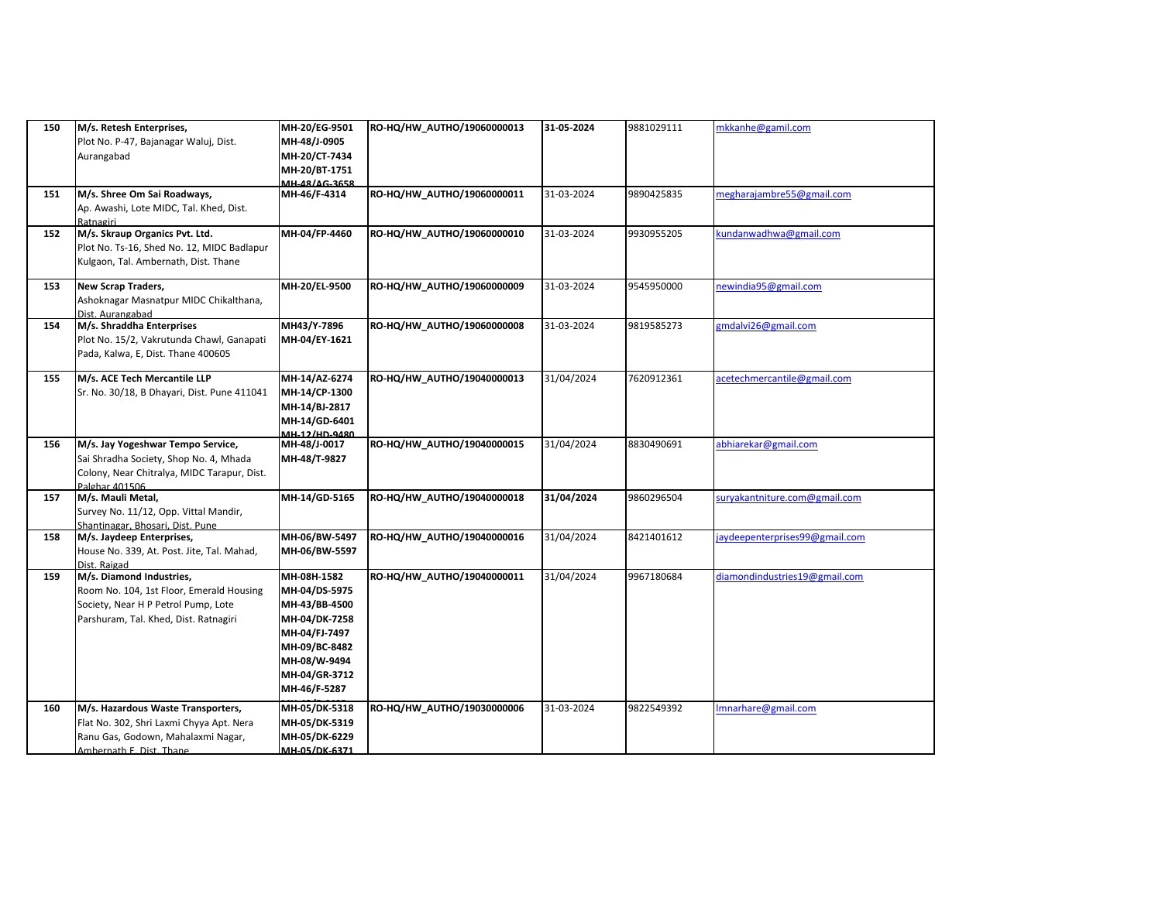| 150 | M/s. Retesh Enterprises,<br>Plot No. P-47, Bajanagar Waluj, Dist.<br>Aurangabad                                                                      | MH-20/EG-9501<br>MH-48/J-0905<br>MH-20/CT-7434<br>MH-20/BT-1751<br>MH-48/4G-3658                                                                  | RO-HQ/HW_AUTHO/19060000013 | 31-05-2024 | 9881029111 | mkkanhe@gamil.com              |
|-----|------------------------------------------------------------------------------------------------------------------------------------------------------|---------------------------------------------------------------------------------------------------------------------------------------------------|----------------------------|------------|------------|--------------------------------|
| 151 | M/s. Shree Om Sai Roadways,<br>Ap. Awashi, Lote MIDC, Tal. Khed, Dist.<br>Ratnagiri                                                                  | MH-46/F-4314                                                                                                                                      | RO-HQ/HW_AUTHO/19060000011 | 31-03-2024 | 9890425835 | megharajambre55@gmail.com      |
| 152 | M/s. Skraup Organics Pvt. Ltd.<br>Plot No. Ts-16, Shed No. 12, MIDC Badlapur<br>Kulgaon, Tal. Ambernath, Dist. Thane                                 | MH-04/FP-4460                                                                                                                                     | RO-HQ/HW_AUTHO/19060000010 | 31-03-2024 | 9930955205 | kundanwadhwa@gmail.com         |
| 153 | New Scrap Traders,<br>Ashoknagar Masnatpur MIDC Chikalthana,<br>Dist. Aurangabad                                                                     | MH-20/EL-9500                                                                                                                                     | RO-HQ/HW_AUTHO/19060000009 | 31-03-2024 | 9545950000 | newindia95@gmail.com           |
| 154 | M/s. Shraddha Enterprises<br>Plot No. 15/2, Vakrutunda Chawl, Ganapati<br>Pada, Kalwa, E, Dist. Thane 400605                                         | MH43/Y-7896<br>MH-04/EY-1621                                                                                                                      | RO-HQ/HW_AUTHO/19060000008 | 31-03-2024 | 9819585273 | gmdalvi26@gmail.com            |
| 155 | M/s. ACE Tech Mercantile LLP<br>Sr. No. 30/18, B Dhayari, Dist. Pune 411041                                                                          | MH-14/AZ-6274<br>MH-14/CP-1300<br>MH-14/BJ-2817<br>MH-14/GD-6401<br>MH-12/HD-9480                                                                 | RO-HQ/HW_AUTHO/19040000013 | 31/04/2024 | 7620912361 | acetechmercantile@gmail.com    |
| 156 | M/s. Jay Yogeshwar Tempo Service,<br>Sai Shradha Society, Shop No. 4, Mhada<br>Colony, Near Chitralya, MIDC Tarapur, Dist.<br>Palghar 401506         | MH-48/J-0017<br>MH-48/T-9827                                                                                                                      | RO-HQ/HW_AUTHO/19040000015 | 31/04/2024 | 8830490691 | abhiarekar@gmail.com           |
| 157 | M/s. Mauli Metal,<br>Survey No. 11/12, Opp. Vittal Mandir,<br>Shantinagar, Bhosari, Dist, Pune                                                       | MH-14/GD-5165                                                                                                                                     | RO-HQ/HW_AUTHO/19040000018 | 31/04/2024 | 9860296504 | suryakantniture.com@gmail.com  |
| 158 | M/s. Jaydeep Enterprises,<br>House No. 339, At. Post. Jite, Tal. Mahad,<br>Dist. Raigad                                                              | MH-06/BW-5497<br>MH-06/BW-5597                                                                                                                    | RO-HQ/HW_AUTHO/19040000016 | 31/04/2024 | 8421401612 | jaydeepenterprises99@gmail.com |
| 159 | M/s. Diamond Industries,<br>Room No. 104, 1st Floor, Emerald Housing<br>Society, Near H P Petrol Pump, Lote<br>Parshuram, Tal. Khed, Dist. Ratnagiri | MH-08H-1582<br>MH-04/DS-5975<br>MH-43/BB-4500<br>MH-04/DK-7258<br>MH-04/FJ-7497<br>MH-09/BC-8482<br>MH-08/W-9494<br>MH-04/GR-3712<br>MH-46/F-5287 | RO-HQ/HW_AUTHO/19040000011 | 31/04/2024 | 9967180684 | diamondindustries19@gmail.com  |
| 160 | M/s. Hazardous Waste Transporters,<br>Flat No. 302, Shri Laxmi Chyya Apt. Nera<br>Ranu Gas, Godown, Mahalaxmi Nagar,<br>Ambernath E. Dist. Thane     | MH-05/DK-5318<br>MH-05/DK-5319<br>MH-05/DK-6229<br>MH-05/DK-6371                                                                                  | RO-HQ/HW_AUTHO/19030000006 | 31-03-2024 | 9822549392 | mnarhare@gmail.com             |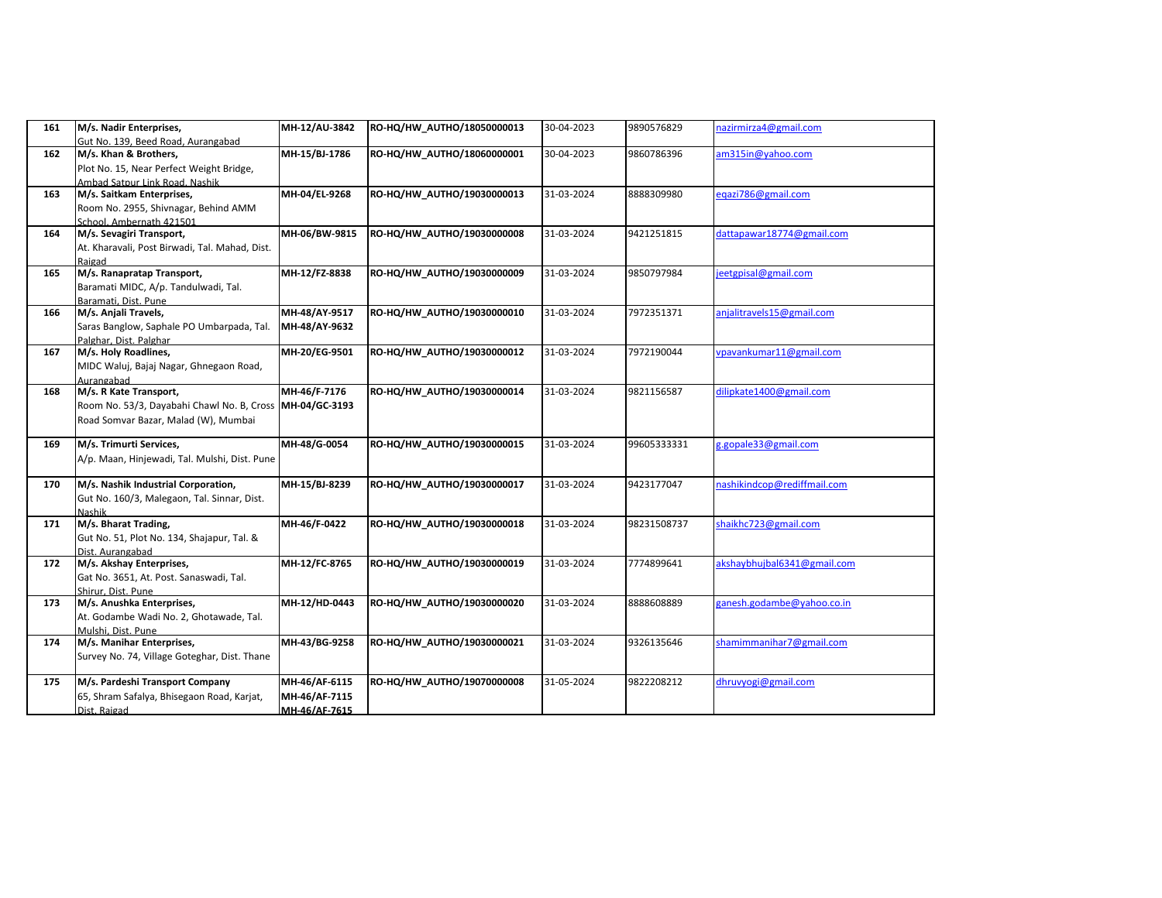| 161 | M/s. Nadir Enterprises,<br>Gut No. 139, Beed Road, Aurangabad                                                | MH-12/AU-3842                                   | RO-HQ/HW_AUTHO/18050000013 | 30-04-2023 | 9890576829  | nazirmirza4@gmail.com       |
|-----|--------------------------------------------------------------------------------------------------------------|-------------------------------------------------|----------------------------|------------|-------------|-----------------------------|
| 162 | M/s. Khan & Brothers,<br>Plot No. 15, Near Perfect Weight Bridge,<br>Ambad Satpur Link Road, Nashik          | MH-15/BJ-1786                                   | RO-HQ/HW_AUTHO/18060000001 | 30-04-2023 | 9860786396  | am315in@yahoo.com           |
| 163 | M/s. Saitkam Enterprises,<br>Room No. 2955, Shivnagar, Behind AMM<br>School. Ambernath 421501                | MH-04/EL-9268                                   | RO-HQ/HW_AUTHO/19030000013 | 31-03-2024 | 8888309980  | eqazi786@gmail.com          |
| 164 | M/s. Sevagiri Transport,<br>At. Kharavali, Post Birwadi, Tal. Mahad, Dist.<br>Raigad                         | MH-06/BW-9815                                   | RO-HQ/HW_AUTHO/19030000008 | 31-03-2024 | 9421251815  | dattapawar18774@gmail.com   |
| 165 | M/s. Ranapratap Transport,<br>Baramati MIDC, A/p. Tandulwadi, Tal.<br>Baramati. Dist. Pune                   | MH-12/FZ-8838                                   | RO-HQ/HW_AUTHO/19030000009 | 31-03-2024 | 9850797984  | eetgpisal@gmail.com         |
| 166 | M/s. Anjali Travels,<br>Saras Banglow, Saphale PO Umbarpada, Tal.<br>Palghar, Dist, Palghar                  | MH-48/AY-9517<br>MH-48/AY-9632                  | RO-HQ/HW_AUTHO/19030000010 | 31-03-2024 | 7972351371  | anjalitravels15@gmail.com   |
| 167 | M/s. Holy Roadlines,<br>MIDC Waluj, Bajaj Nagar, Ghnegaon Road,<br>Aurangabad                                | MH-20/EG-9501                                   | RO-HQ/HW_AUTHO/19030000012 | 31-03-2024 | 7972190044  | vpavankumar11@gmail.com     |
| 168 | M/s. R Kate Transport,<br>Room No. 53/3, Dayabahi Chawl No. B, Cross<br>Road Somvar Bazar, Malad (W), Mumbai | MH-46/F-7176<br>MH-04/GC-3193                   | RO-HQ/HW_AUTHO/19030000014 | 31-03-2024 | 9821156587  | dilipkate1400@gmail.com     |
| 169 | M/s. Trimurti Services,<br>A/p. Maan, Hinjewadi, Tal. Mulshi, Dist. Pune                                     | MH-48/G-0054                                    | RO-HQ/HW_AUTHO/19030000015 | 31-03-2024 | 99605333331 | g.gopale33@gmail.com        |
| 170 | M/s. Nashik Industrial Corporation,<br>Gut No. 160/3, Malegaon, Tal. Sinnar, Dist.<br>Nashik                 | MH-15/BJ-8239                                   | RO-HQ/HW_AUTHO/19030000017 | 31-03-2024 | 9423177047  | nashikindcop@rediffmail.com |
| 171 | M/s. Bharat Trading,<br>Gut No. 51, Plot No. 134, Shajapur, Tal. &<br>Dist. Aurangabad                       | MH-46/F-0422                                    | RO-HQ/HW_AUTHO/19030000018 | 31-03-2024 | 98231508737 | shaikhc723@gmail.com        |
| 172 | M/s. Akshay Enterprises,<br>Gat No. 3651, At. Post. Sanaswadi, Tal.<br>Shirur, Dist, Pune                    | MH-12/FC-8765                                   | RO-HQ/HW_AUTHO/19030000019 | 31-03-2024 | 7774899641  | akshaybhujbal6341@gmail.com |
| 173 | M/s. Anushka Enterprises,<br>At. Godambe Wadi No. 2, Ghotawade, Tal.<br>Mulshi, Dist, Pune                   | MH-12/HD-0443                                   | RO-HQ/HW_AUTHO/19030000020 | 31-03-2024 | 8888608889  | ganesh.godambe@yahoo.co.in  |
| 174 | M/s. Manihar Enterprises,<br>Survey No. 74, Village Goteghar, Dist. Thane                                    | MH-43/BG-9258                                   | RO-HQ/HW_AUTHO/19030000021 | 31-03-2024 | 9326135646  | shamimmanihar7@gmail.com    |
| 175 | M/s. Pardeshi Transport Company<br>65, Shram Safalya, Bhisegaon Road, Karjat,<br>Dist. Raigad                | MH-46/AF-6115<br>MH-46/AF-7115<br>MH-46/AF-7615 | RO-HQ/HW_AUTHO/19070000008 | 31-05-2024 | 9822208212  | dhruvyogi@gmail.com         |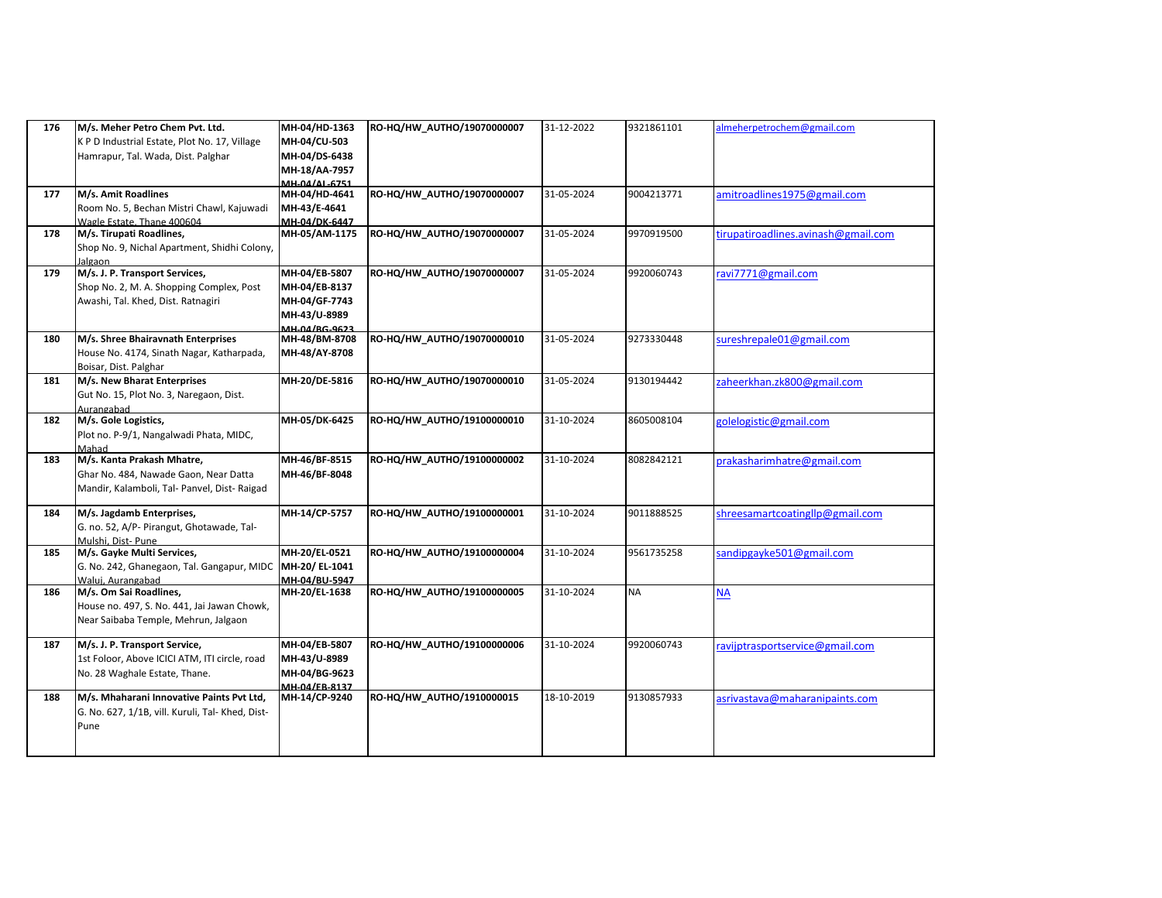| 176 | M/s. Meher Petro Chem Pvt. Ltd.<br>K P D Industrial Estate, Plot No. 17, Village<br>Hamrapur, Tal. Wada, Dist. Palghar | MH-04/HD-1363<br>MH-04/CU-503<br>MH-04/DS-6438<br>MH-18/AA-7957<br>MH-04/AL-6751        | RO-HQ/HW_AUTHO/19070000007 | 31-12-2022 | 9321861101 | almeherpetrochem@gmail.com          |
|-----|------------------------------------------------------------------------------------------------------------------------|-----------------------------------------------------------------------------------------|----------------------------|------------|------------|-------------------------------------|
| 177 | M/s. Amit Roadlines<br>Room No. 5, Bechan Mistri Chawl, Kajuwadi<br>Wagle Estate. Thane 400604                         | MH-04/HD-4641<br>MH-43/E-4641<br>MH-04/DK-6447                                          | RO-HQ/HW_AUTHO/19070000007 | 31-05-2024 | 9004213771 | amitroadlines1975@gmail.com         |
| 178 | M/s. Tirupati Roadlines,<br>Shop No. 9, Nichal Apartment, Shidhi Colony,<br>Jalgaon                                    | MH-05/AM-1175                                                                           | RO-HQ/HW_AUTHO/19070000007 | 31-05-2024 | 9970919500 | tirupatiroadlines.avinash@gmail.com |
| 179 | M/s. J. P. Transport Services,<br>Shop No. 2, M. A. Shopping Complex, Post<br>Awashi, Tal. Khed, Dist. Ratnagiri       | MH-04/EB-5807<br>MH-04/EB-8137<br>MH-04/GF-7743<br>MH-43/U-8989<br><b>MH-04/RG-9623</b> | RO-HQ/HW_AUTHO/19070000007 | 31-05-2024 | 9920060743 | ravi7771@gmail.com                  |
| 180 | M/s. Shree Bhairavnath Enterprises<br>House No. 4174, Sinath Nagar, Katharpada,<br>Boisar, Dist. Palghar               | MH-48/BM-8708<br>MH-48/AY-8708                                                          | RO-HQ/HW_AUTHO/19070000010 | 31-05-2024 | 9273330448 | sureshrepale01@gmail.com            |
| 181 | M/s. New Bharat Enterprises<br>Gut No. 15, Plot No. 3, Naregaon, Dist.<br>Aurangabad                                   | MH-20/DE-5816                                                                           | RO-HQ/HW_AUTHO/19070000010 | 31-05-2024 | 9130194442 | zaheerkhan.zk800@gmail.com          |
| 182 | M/s. Gole Logistics,<br>Plot no. P-9/1, Nangalwadi Phata, MIDC,<br>Mahad                                               | MH-05/DK-6425                                                                           | RO-HQ/HW_AUTHO/19100000010 | 31-10-2024 | 8605008104 | golelogistic@gmail.com              |
| 183 | M/s. Kanta Prakash Mhatre,<br>Ghar No. 484, Nawade Gaon, Near Datta<br>Mandir, Kalamboli, Tal- Panvel, Dist- Raigad    | MH-46/BF-8515<br>MH-46/BF-8048                                                          | RO-HQ/HW_AUTHO/19100000002 | 31-10-2024 | 8082842121 | prakasharimhatre@gmail.com          |
| 184 | M/s. Jagdamb Enterprises,<br>G. no. 52, A/P- Pirangut, Ghotawade, Tal-<br>Mulshi. Dist- Pune                           | MH-14/CP-5757                                                                           | RO-HQ/HW_AUTHO/19100000001 | 31-10-2024 | 9011888525 | shreesamartcoatingllp@gmail.com     |
| 185 | M/s. Gayke Multi Services,<br>G. No. 242, Ghanegaon, Tal. Gangapur, MIDC MH-20/EL-1041<br>Walui. Aurangabad            | MH-20/EL-0521<br>MH-04/BU-5947                                                          | RO-HQ/HW_AUTHO/19100000004 | 31-10-2024 | 9561735258 | sandipgayke501@gmail.com            |
| 186 | M/s. Om Sai Roadlines,<br>House no. 497, S. No. 441, Jai Jawan Chowk,<br>Near Saibaba Temple, Mehrun, Jalgaon          | MH-20/EL-1638                                                                           | RO-HQ/HW_AUTHO/19100000005 | 31-10-2024 | <b>NA</b>  | <b>NA</b>                           |
| 187 | M/s. J. P. Transport Service,<br>1st Foloor, Above ICICI ATM, ITI circle, road<br>No. 28 Waghale Estate, Thane.        | MH-04/EB-5807<br>MH-43/U-8989<br>MH-04/BG-9623<br>MH-04/EB-8137                         | RO-HQ/HW_AUTHO/19100000006 | 31-10-2024 | 9920060743 | ravijptrasportservice@gmail.com     |
| 188 | M/s. Mhaharani Innovative Paints Pvt Ltd,<br>G. No. 627, 1/1B, vill. Kuruli, Tal- Khed, Dist-<br>Pune                  | MH-14/CP-9240                                                                           | RO-HQ/HW_AUTHO/1910000015  | 18-10-2019 | 9130857933 | asrivastava@maharanipaints.com      |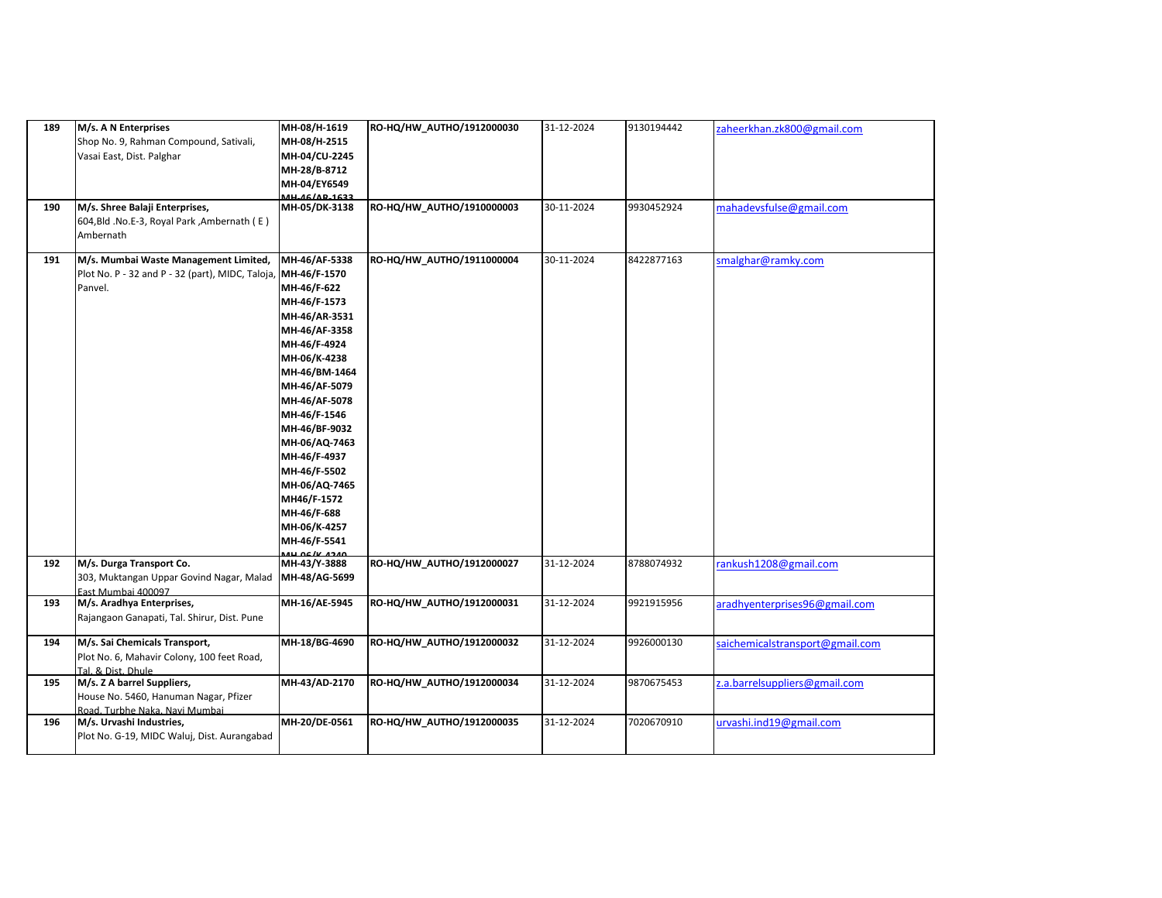| 189<br>190 | M/s. A N Enterprises<br>Shop No. 9, Rahman Compound, Sativali,<br>Vasai East, Dist. Palghar<br>M/s. Shree Balaji Enterprises, | MH-08/H-1619<br>MH-08/H-2515<br>MH-04/CU-2245<br>MH-28/B-8712<br>MH-04/EY6549<br><b>MH_46/AP_1622</b><br>MH-05/DK-3138                                                                                                                                                                                                                             | RO-HQ/HW_AUTHO/1912000030<br>RO-HQ/HW_AUTHO/1910000003 | 31-12-2024<br>30-11-2024 | 9130194442<br>9930452924 | zaheerkhan.zk800@gmail.com<br>mahadevsfulse@gmail.com |
|------------|-------------------------------------------------------------------------------------------------------------------------------|----------------------------------------------------------------------------------------------------------------------------------------------------------------------------------------------------------------------------------------------------------------------------------------------------------------------------------------------------|--------------------------------------------------------|--------------------------|--------------------------|-------------------------------------------------------|
|            | 604, Bld .No.E-3, Royal Park, Ambernath (E)<br>Ambernath                                                                      |                                                                                                                                                                                                                                                                                                                                                    |                                                        |                          |                          |                                                       |
| 191        | M/s. Mumbai Waste Management Limited,<br>Plot No. P - 32 and P - 32 (part), MIDC, Taloja<br>Panvel.                           | MH-46/AF-5338<br>MH-46/F-1570<br>MH-46/F-622<br>MH-46/F-1573<br>MH-46/AR-3531<br>MH-46/AF-3358<br>MH-46/F-4924<br>MH-06/K-4238<br>MH-46/BM-1464<br>MH-46/AF-5079<br>MH-46/AF-5078<br>MH-46/F-1546<br>MH-46/BF-9032<br>MH-06/AQ-7463<br>MH-46/F-4937<br>MH-46/F-5502<br>MH-06/AQ-7465<br>MH46/F-1572<br>MH-46/F-688<br>MH-06/K-4257<br>MH-46/F-5541 | RO-HQ/HW_AUTHO/1911000004                              | 30-11-2024               | 8422877163               | smalghar@ramky.com                                    |
| 192        | M/s. Durga Transport Co.<br>303, Muktangan Uppar Govind Nagar, Malad<br>East Mumbai 400097                                    | <b>AND AC /V 4240</b><br>MH-43/Y-3888<br>MH-48/AG-5699                                                                                                                                                                                                                                                                                             | RO-HQ/HW_AUTHO/1912000027                              | 31-12-2024               | 8788074932               | rankush1208@gmail.com                                 |
| 193        | M/s. Aradhya Enterprises,<br>Rajangaon Ganapati, Tal. Shirur, Dist. Pune                                                      | MH-16/AE-5945                                                                                                                                                                                                                                                                                                                                      | RO-HQ/HW_AUTHO/1912000031                              | 31-12-2024               | 9921915956               | aradhyenterprises96@gmail.com                         |
| 194        | M/s. Sai Chemicals Transport,<br>Plot No. 6, Mahavir Colony, 100 feet Road,<br>Tal. & Dist. Dhule                             | MH-18/BG-4690                                                                                                                                                                                                                                                                                                                                      | RO-HQ/HW_AUTHO/1912000032                              | 31-12-2024               | 9926000130               | saichemicalstransport@gmail.com                       |
| 195        | M/s. Z A barrel Suppliers,<br>House No. 5460, Hanuman Nagar, Pfizer<br>Road. Turbhe Naka. Navi Mumbai                         | MH-43/AD-2170                                                                                                                                                                                                                                                                                                                                      | RO-HQ/HW_AUTHO/1912000034                              | 31-12-2024               | 9870675453               | z.a.barrelsuppliers@gmail.com                         |
| 196        | M/s. Urvashi Industries,<br>Plot No. G-19, MIDC Waluj, Dist. Aurangabad                                                       | MH-20/DE-0561                                                                                                                                                                                                                                                                                                                                      | RO-HQ/HW_AUTHO/1912000035                              | 31-12-2024               | 7020670910               | urvashi.ind19@gmail.com                               |